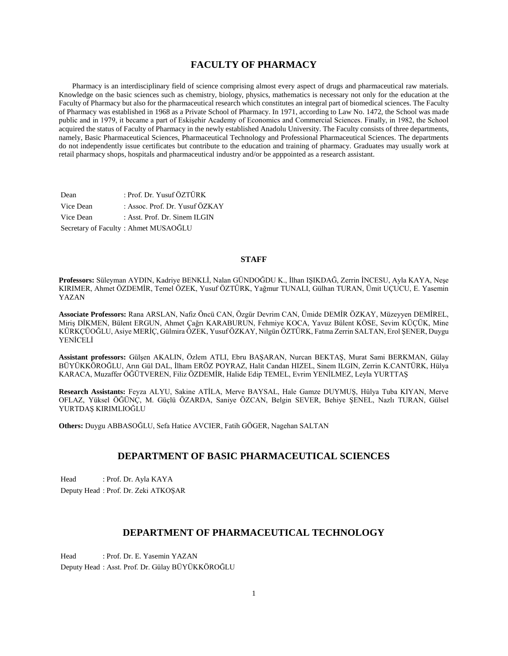### **FACULTY OF PHARMACY**

 Pharmacy is an interdisciplinary field of science comprising almost every aspect of drugs and pharmaceutical raw materials. Knowledge on the basic sciences such as chemistry, biology, physics, mathematics is necessary not only for the education at the Faculty of Pharmacy but also for the pharmaceutical research which constitutes an integral part of biomedical sciences. The Faculty of Pharmacy was established in 1968 as a Private School of Pharmacy. In 1971, according to Law No. 1472, the School was made public and in 1979, it became a part of Eskişehir Academy of Economics and Commercial Sciences. Finally, in 1982, the School acquired the status of Faculty of Pharmacy in the newly established Anadolu University. The Faculty consists of three departments, namely, Basic Pharmaceutical Sciences, Pharmaceutical Technology and Professional Pharmaceutical Sciences. The departments do not independently issue certificates but contribute to the education and training of pharmacy. Graduates may usually work at retail pharmacy shops, hospitals and pharmaceutical industry and/or be apppointed as a research assistant.

| Dean      | : Prof. Dr. Yusuf ÖZTÜRK             |
|-----------|--------------------------------------|
| Vice Dean | : Assoc. Prof. Dr. Yusuf ÖZKAY       |
| Vice Dean | : Asst. Prof. Dr. Sinem ILGIN        |
|           | Secretary of Faculty: Ahmet MUSAOĞLU |

### **STAFF**

**Professors:** Süleyman AYDIN, Kadriye BENKLİ, Nalan GÜNDOĞDU K., İlhan IŞIKDAĞ, Zerrin İNCESU, Ayla KAYA, Neşe KIRIMER, Ahmet ÖZDEMİR, Temel ÖZEK, Yusuf ÖZTÜRK, Yağmur TUNALI, Gülhan TURAN, Ümit UÇUCU, E. Yasemin YAZAN

**Associate Professors:** Rana ARSLAN, Nafiz Öncü CAN, Özgür Devrim CAN, Ümide DEMİR ÖZKAY, Müzeyyen DEMİREL, Miriş DİKMEN, Bülent ERGUN, Ahmet Çağrı KARABURUN, Fehmiye KOCA, Yavuz Bülent KÖSE, Sevim KÜÇÜK, Mine KÜRKÇÜOĞLU, Asiye MERİÇ, Gülmira ÖZEK, Yusuf ÖZKAY, Nilgün ÖZTÜRK, Fatma Zerrin SALTAN, Erol ŞENER, Duygu YENİCELİ

**Assistant professors:** Gülşen AKALIN, Özlem ATLI, Ebru BAŞARAN, Nurcan BEKTAŞ, Murat Sami BERKMAN, Gülay BÜYÜKKÖROĞLU, Arın Gül DAL, İlham ERÖZ POYRAZ, Halit Candan HIZEL, Sinem ILGIN, Zerrin K.CANTÜRK, Hülya KARACA, Muzaffer ÖĞÜTVEREN, Filiz ÖZDEMİR, Halide Edip TEMEL, Evrim YENİLMEZ, Leyla YURTTAŞ

**Research Assistants:** Feyza ALYU, Sakine ATİLA, Merve BAYSAL, Hale Gamze DUYMUŞ, Hülya Tuba KIYAN, Merve OFLAZ, Yüksel ÖĞÜNÇ, M. Güçlü ÖZARDA, Saniye ÖZCAN, Belgin SEVER, Behiye ŞENEL, Nazlı TURAN, Gülsel YURTDAŞ KIRIMLIOĞLU

**Others:** Duygu ABBASOĞLU, Sefa Hatice AVCIER, Fatih GÖGER, Nagehan SALTAN

### **DEPARTMENT OF BASIC PHARMACEUTICAL SCIENCES**

Head : Prof. Dr. Ayla KAYA Deputy Head : Prof. Dr. Zeki ATKOŞAR

### **DEPARTMENT OF PHARMACEUTICAL TECHNOLOGY**

Head : Prof. Dr. E. Yasemin YAZAN Deputy Head : Asst. Prof. Dr. Gülay BÜYÜKKÖROĞLU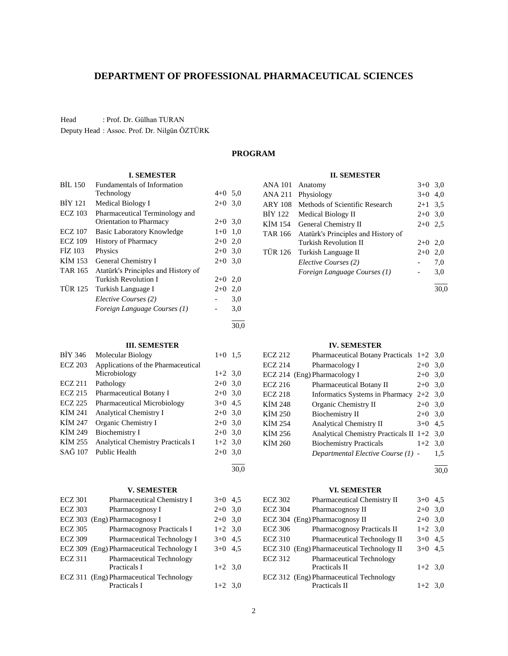### **DEPARTMENT OF PROFESSIONAL PHARMACEUTICAL SCIENCES**

Head : Prof. Dr. Gülhan TURAN

Deputy Head : Assoc. Prof. Dr. Nilgün ÖZTÜRK

### **PROGRAM**

#### **I. SEMESTER**

| <b>BIL 150</b> | <b>Fundamentals of Information</b>  |           |     |
|----------------|-------------------------------------|-----------|-----|
|                | Technology                          | $4+0$ 5,0 |     |
| <b>BIY 121</b> | <b>Medical Biology I</b>            | $2+0$ 3,0 |     |
| <b>ECZ</b> 103 | Pharmaceutical Terminology and      |           |     |
|                | Orientation to Pharmacy             | $2+0$ 3,0 |     |
| <b>ECZ</b> 107 | Basic Laboratory Knowledge          | $1+0$ 1,0 |     |
| <b>ECZ 109</b> | <b>History of Pharmacy</b>          | $2+0$ 2,0 |     |
| FIZ 103        | Physics                             | $2+0$ 3,0 |     |
| KIM 153        | General Chemistry I                 | $2+0$ 3,0 |     |
| <b>TAR 165</b> | Atatürk's Principles and History of |           |     |
|                | Turkish Revolution I                | $2+0$     | 2,0 |
| <b>TÜR 125</b> | Turkish Language I                  | $2+0$     | 2,0 |
|                | Elective Courses (2)                |           | 3,0 |
|                | Foreign Language Courses (1)        |           | 3,0 |
|                |                                     |           |     |

30,0

l 30,0

#### **III. SEMESTER**

| BİY 346        | Molecular Biology                  | $1+0$     | 1.5 |
|----------------|------------------------------------|-----------|-----|
| <b>ECZ 203</b> | Applications of the Pharmaceutical |           |     |
|                | Microbiology                       | $1+2$ 3,0 |     |
| <b>ECZ 211</b> | Pathology                          | $2+0$ 3,0 |     |
| <b>ECZ 215</b> | <b>Pharmaceutical Botany I</b>     | $2+0$ 3,0 |     |
| <b>ECZ 225</b> | <b>Pharmaceutical Microbiology</b> | $3+0$ 4.5 |     |
| KIM 241        | <b>Analytical Chemistry I</b>      | $2+0$ 3,0 |     |
| KİM 247        | Organic Chemistry I                | $2+0$ 3,0 |     |
| KIM 249        | Biochemistry I                     | $2+0$ 3,0 |     |
| KİM 255        | Analytical Chemistry Practicals I  | $1+2$ 3,0 |     |
| SAĞ 107        | Public Health                      | $2+0$ 3,0 |     |
|                |                                    |           |     |

#### **V. SEMESTER**

| <b>ECZ 301</b> | Pharmaceutical Chemistry I                | $3+0$ 4.5 |  |
|----------------|-------------------------------------------|-----------|--|
| <b>ECZ 303</b> | Pharmacognosy I                           | $2+0$ 3,0 |  |
|                | ECZ 303 (Eng) Pharmacognosy I             | $2+0$ 3,0 |  |
| <b>ECZ 305</b> | Pharmacognosy Practicals I                | $1+2$ 3,0 |  |
| <b>ECZ 309</b> | Pharmaceutical Technology I               | $3+0$ 4.5 |  |
|                | ECZ 309 (Eng) Pharmaceutical Technology I | $3+0$ 4.5 |  |
| <b>ECZ 311</b> | <b>Pharmaceutical Technology</b>          |           |  |
|                | Practicals I                              | $1+2$ 3,0 |  |
|                | ECZ 311 (Eng) Pharmaceutical Technology   |           |  |
|                | Practicals I                              | $1+2$ 3.0 |  |

#### **II. SEMESTER**

| <b>ANA 101</b> | Anatomy                             | $3+0$ 3,0 |      |
|----------------|-------------------------------------|-----------|------|
| ANA 211        | Physiology                          | $3+0$     | 4.0  |
| <b>ARY 108</b> | Methods of Scientific Research      | $2+1$ 3.5 |      |
| BIY 122        | Medical Biology II                  | $2+0$ 3.0 |      |
| KİM 154        | General Chemistry II                | $2+0$ 2.5 |      |
| <b>TAR 166</b> | Atatürk's Principles and History of |           |      |
|                | Turkish Revolution II               | $2+0$     | 2.0  |
| <b>TÜR 126</b> | Turkish Language II                 | $2+0$     | 2,0  |
|                | Elective Courses (2)                |           | 7,0  |
|                | Foreign Language Courses (1)        |           | 3,0  |
|                |                                     |           | 30.0 |

#### **IV. SEMESTER**

| <b>ECZ 212</b> | Pharmaceutical Botany Practicals $1+2$ 3,0   |           |     |
|----------------|----------------------------------------------|-----------|-----|
| <b>ECZ 214</b> | Pharmacology I                               | $2+0$     | 3,0 |
|                | ECZ 214 (Eng) Pharmacology I                 | $2+0$ 3,0 |     |
| <b>ECZ 216</b> | <b>Pharmaceutical Botany II</b>              | $2+0$ 3,0 |     |
| <b>ECZ 218</b> | Informatics Systems in Pharmacy              | $2+2$ 3,0 |     |
| KİM 248        | Organic Chemistry II                         | $2+0$ 3,0 |     |
| KİM 250        | <b>Biochemistry II</b>                       | $2+0$ 3,0 |     |
| KİM 254        | <b>Analytical Chemistry II</b>               | $3+0$ 4.5 |     |
| KİM 256        | Analytical Chemistry Practicals II $1+2$ 3,0 |           |     |
| KİM 260        | <b>Biochemistry Practicals</b>               | $1+2$ 3.0 |     |
|                | Departmental Elective Course (1) -           |           | 1,5 |

 $\overline{a}$ 30,0

#### **VI. SEMESTER**

| <b>ECZ 302</b> | Pharmaceutical Chemistry II                | $3+0$     | 4.5 |
|----------------|--------------------------------------------|-----------|-----|
| <b>ECZ 304</b> | Pharmacognosy II                           | $2+0$     | 3,0 |
|                | ECZ 304 (Eng) Pharmacognosy II             | $2+0$ 3,0 |     |
| <b>ECZ 306</b> | Pharmacognosy Practicals II                | $1+2$ 3,0 |     |
| <b>ECZ 310</b> | Pharmaceutical Technology II               | $3+0$ 4.5 |     |
|                | ECZ 310 (Eng) Pharmaceutical Technology II | $3+0$ 4.5 |     |
| <b>ECZ 312</b> | <b>Pharmaceutical Technology</b>           |           |     |
|                | Practicals II                              | $1+2$ 3,0 |     |
|                | ECZ 312 (Eng) Pharmaceutical Technology    |           |     |
|                | Practicals II                              | $1+2$ 3,0 |     |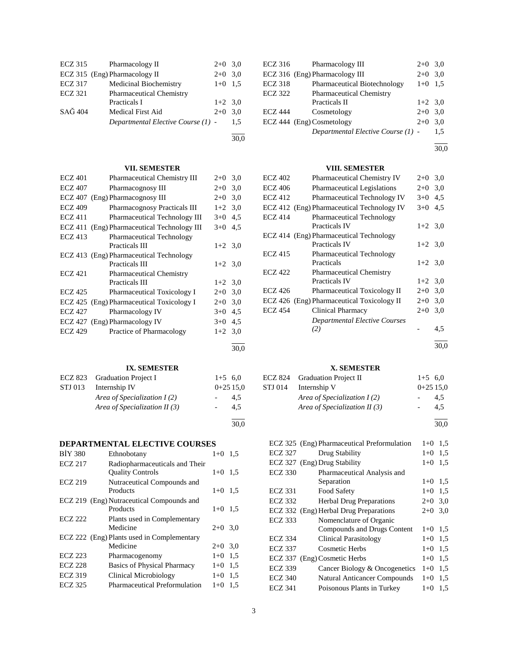| ECZ 315        | Pharmacology II                    | $2+0$ 3.0 |     |
|----------------|------------------------------------|-----------|-----|
|                | ECZ 315 (Eng) Pharmacology II      | $2+0$ 3.0 |     |
| <b>ECZ 317</b> | <b>Medicinal Biochemistry</b>      | $1+0$ 1.5 |     |
| <b>ECZ 321</b> | <b>Pharmaceutical Chemistry</b>    |           |     |
|                | Practicals I                       | $1+2$ 3.0 |     |
| SAĞ 404        | Medical First Aid                  | $2+0$ 3.0 |     |
|                | Departmental Elective Course (1) - |           | 1.5 |
|                |                                    |           |     |

### **VII. SEMESTER**

30,0

| <b>ECZ 401</b> | Pharmaceutical Chemistry III              | $2+0$     | 3,0  |
|----------------|-------------------------------------------|-----------|------|
| <b>ECZ 407</b> | Pharmacognosy III                         | $2+0$     | 3,0  |
|                | ECZ 407 (Eng) Pharmacognosy III           | $2+0$     | 3,0  |
| <b>ECZ 409</b> | <b>Pharmacognosy Practicals III</b>       | $1+2$ 3,0 |      |
| <b>ECZ 411</b> | Pharmaceutical Technology III             | $3+0$     | 4,5  |
| ECZ 411        | (Eng) Pharmaceutical Technology III       | $3+0$     | 4,5  |
| <b>ECZ 413</b> | <b>Pharmaceutical Technology</b>          |           |      |
|                | <b>Practicals III</b>                     | $1+2$ 3.0 |      |
|                | ECZ 413 (Eng) Pharmaceutical Technology   |           |      |
|                | <b>Practicals III</b>                     | $1+2$ 3.0 |      |
| <b>ECZ 421</b> | <b>Pharmaceutical Chemistry</b>           |           |      |
|                | <b>Practicals III</b>                     | $1+2$ 3,0 |      |
| <b>ECZ 425</b> | <b>Pharmaceutical Toxicology I</b>        | $2+0$     | 3,0  |
|                | ECZ 425 (Eng) Pharmaceutical Toxicology I | $2+0$     | 3,0  |
| ECZ 427        | Pharmacology IV                           | $3+0$     | 4,5  |
|                | ECZ 427 (Eng) Pharmacology IV             | $3+0$     | 4,5  |
| <b>ECZ 429</b> | Practice of Pharmacology                  | $1+2$     | 3,0  |
|                |                                           |           | 30,0 |
|                |                                           |           |      |

### **IX. SEMESTER**

|         | ECZ 823 Graduation Project I    | $1+5$ 6.0  |     |
|---------|---------------------------------|------------|-----|
| STJ 013 | Internship IV                   | $0+2515.0$ |     |
|         | Area of Specialization $I(2)$   |            | 4.5 |
|         | Area of Specialization II $(3)$ |            | 4.5 |
|         |                                 |            |     |

#### **DEPARTMENTAL ELECTIVE COURSES**

| <b>BIY 380</b> | Ethnobotany                                               | $1+0$     | 1.5 |
|----------------|-----------------------------------------------------------|-----------|-----|
| <b>ECZ 217</b> | Radiopharmaceuticals and Their<br><b>Quality Controls</b> | $1+0$ 1.5 |     |
| <b>ECZ 219</b> | Nutraceutical Compounds and<br>Products                   | $1+0$ 1.5 |     |
|                | ECZ 219 (Eng) Nutraceutical Compounds and<br>Products     | $1+0$ 1.5 |     |
| <b>ECZ 222</b> | Plants used in Complementary<br>Medicine                  | $2+0$ 3.0 |     |
|                | ECZ 222 (Eng) Plants used in Complementary<br>Medicine    | $2+0$ 3.0 |     |
| <b>ECZ 223</b> | Pharmacogenomy                                            | $1 + 0$   | 1,5 |
| <b>ECZ 228</b> | <b>Basics of Physical Pharmacy</b>                        | $1+0$     | 1.5 |
| <b>ECZ 319</b> | Clinical Microbiology                                     | $1+0$     | 1.5 |
| <b>ECZ 325</b> | <b>Pharmaceutical Preformulation</b>                      | $1+0$     | 1,5 |

| ECZ 316        | Pharmacology III                   | $2+0$ 3,0 |     |
|----------------|------------------------------------|-----------|-----|
|                | ECZ 316 (Eng) Pharmacology III     | $2+0$     | 3,0 |
| <b>ECZ 318</b> | Pharmaceutical Biotechnology       | $1+0$ 1.5 |     |
| <b>ECZ 322</b> | Pharmaceutical Chemistry           |           |     |
|                | Practicals II                      | $1+2$ 3,0 |     |
| <b>ECZ 444</b> | Cosmetology                        | $2+0$ 3.0 |     |
|                | ECZ 444 (Eng) Cosmetology          | $2+0$     | 3.0 |
|                | Departmental Elective Course (1) - |           | 1,5 |

l 30,0

#### **VIII. SEMESTER**

| ECZ 402        | <b>Pharmaceutical Chemistry IV</b>                | $2+0$     | 3,0 |
|----------------|---------------------------------------------------|-----------|-----|
| <b>ECZ 406</b> | <b>Pharmaceutical Legislations</b>                | $2+0$     | 3,0 |
| <b>ECZ 412</b> | Pharmaceutical Technology IV                      | $3+0$     | 4,5 |
|                | ECZ 412 (Eng) Pharmaceutical Technology IV        | $3+0$     | 4.5 |
| <b>ECZ 414</b> | <b>Pharmaceutical Technology</b><br>Practicals IV | $1+2$ 3.0 |     |
|                | ECZ 414 (Eng) Pharmaceutical Technology           |           |     |
|                | Practicals IV                                     | $1+2$ 3,0 |     |
| <b>ECZ 415</b> | <b>Pharmaceutical Technology</b>                  |           |     |
|                | Practicals                                        | $1+2$ 3.0 |     |
| <b>ECZ 422</b> | <b>Pharmaceutical Chemistry</b>                   |           |     |
|                | <b>Practicals IV</b>                              | $1+2$ 3.0 |     |
| ECZ 426        | <b>Pharmaceutical Toxicology II</b>               | $2+0$     | 3,0 |
|                | ECZ 426 (Eng) Pharmaceutical Toxicology II        | $2+0$     | 3,0 |
| <b>ECZ 454</b> | Clinical Pharmacy                                 | $2+0$     | 3,0 |
|                | Departmental Elective Courses                     |           |     |
|                | (2)                                               |           | 4,5 |
|                |                                                   |           |     |

30,0

### **X. SEMESTER**

|         | ECZ 824 Graduation Project II   | $1+5$ 6.0  |
|---------|---------------------------------|------------|
| STJ 014 | Internship V                    | $0+2515.0$ |
|         | Area of Specialization $I(2)$   | 4.5        |
|         | Area of Specialization II $(3)$ | 4.5        |
|         |                                 |            |

30,0

|                | ECZ 325 (Eng) Pharmaceutical Preformulation | $1+0$ | 1,5 |
|----------------|---------------------------------------------|-------|-----|
| <b>ECZ 327</b> | Drug Stability                              | $1+0$ | 1,5 |
|                | ECZ 327 (Eng) Drug Stability                | $1+0$ | 1.5 |
| <b>ECZ 330</b> | Pharmaceutical Analysis and                 |       |     |
|                | Separation                                  | $1+0$ | 1.5 |
| <b>ECZ 331</b> | Food Safety                                 | $1+0$ | 1.5 |
| <b>ECZ 332</b> | <b>Herbal Drug Preparations</b>             | $2+0$ | 3,0 |
|                | ECZ 332 (Eng) Herbal Drug Preparations      | $2+0$ | 3,0 |
| <b>ECZ 333</b> | Nomenclature of Organic                     |       |     |
|                | Compounds and Drugs Content                 | $1+0$ | 1,5 |
| <b>ECZ 334</b> | <b>Clinical Parasitology</b>                | $1+0$ | 1.5 |
| <b>ECZ 337</b> | Cosmetic Herbs                              | $1+0$ | 1.5 |
| <b>ECZ 337</b> | (Eng) Cosmetic Herbs                        | $1+0$ | 1,5 |
| <b>ECZ 339</b> | Cancer Biology & Oncogenetics               | $1+0$ | 1,5 |
| <b>ECZ 340</b> | <b>Natural Anticancer Compounds</b>         | $1+0$ | 1,5 |
| <b>ECZ 341</b> | Poisonous Plants in Turkey                  | $1+0$ | 1.5 |
|                |                                             |       |     |

30,0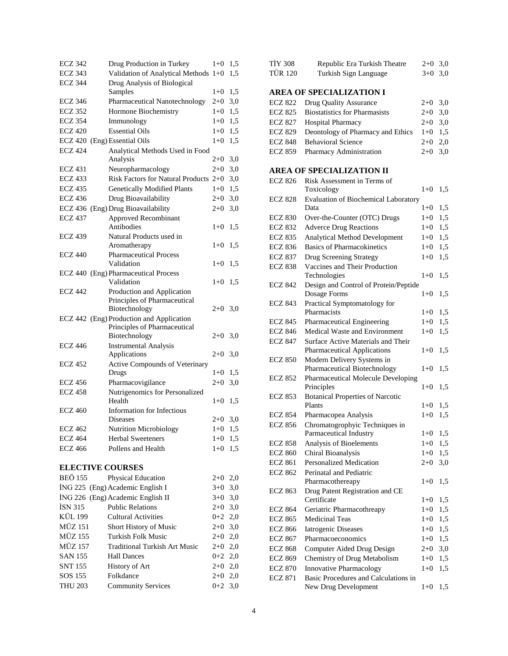| <b>ECZ 342</b>               | Drug Production in Turkey                                                | $1+0$     | 1,5 |
|------------------------------|--------------------------------------------------------------------------|-----------|-----|
| <b>ECZ 343</b>               | Validation of Analytical Methods 1+0                                     |           | 1,5 |
| <b>ECZ 344</b>               | Drug Analysis of Biological<br>Samples                                   | $1+0$     | 1,5 |
| <b>ECZ 346</b>               | Pharmaceutical Nanotechnology                                            | $2+0$     | 3,0 |
| <b>ECZ 352</b>               | Hormone Biochemistry                                                     | $1 + 0$   | 1,5 |
| <b>ECZ 354</b>               | Immunology                                                               | $1+0$     | 1,5 |
| <b>ECZ 420</b>               | <b>Essential Oils</b>                                                    | $1 + 0$   | 1,5 |
| ECZ 420 (Eng) Essential Oils |                                                                          | $1 + 0$   | 1,5 |
| <b>ECZ 424</b>               | Analytical Methods Used in Food                                          |           |     |
|                              | Analysis                                                                 | $2 + 0$   | 3,0 |
| <b>ECZ 431</b>               | Neuropharmacology                                                        | $2+0$     | 3,0 |
| <b>ECZ 433</b>               | Risk Factors for Natural Products $2+0$                                  |           | 3,0 |
| <b>ECZ 435</b>               | <b>Genetically Modified Plants</b>                                       | $1+0$     | 1,5 |
| <b>ECZ 436</b>               | Drug Bioavailability                                                     | $2+0$     | 3,0 |
| <b>ECZ 436</b>               | (Eng) Drug Bioavailability                                               | $2+0$     | 3,0 |
| <b>ECZ 437</b>               | Approved Recombinant<br>Antibodies                                       | $1+0$     | 1,5 |
| <b>ECZ 439</b>               | Natural Products used in                                                 |           |     |
|                              | Aromatherapy                                                             | $1 + 0$   | 1,5 |
| <b>ECZ 440</b>               | <b>Pharmaceutical Process</b>                                            |           |     |
|                              | Validation                                                               | $1 + 0$   | 1,5 |
|                              | ECZ 440 (Eng) Pharmaceutical Process                                     |           |     |
|                              | Validation                                                               | $1 + 0$   | 1,5 |
| <b>ECZ 442</b>               | Production and Application                                               |           |     |
|                              | Principles of Pharmaceutical                                             |           |     |
|                              | Biotechnology                                                            | $2+0$ 3,0 |     |
|                              | ECZ 442 (Eng) Production and Application<br>Principles of Pharmaceutical |           |     |
|                              | Biotechnology                                                            | $2+0$     | 3,0 |
| <b>ECZ 446</b>               | <b>Instrumental Analysis</b>                                             |           |     |
|                              | Applications                                                             | $2+0$     | 3,0 |
| <b>ECZ 452</b>               | Active Compounds of Veterinary                                           |           |     |
|                              | Drugs                                                                    | $1+0$     | 1,5 |
| <b>ECZ 456</b>               | Pharmacovigilance                                                        | $2 + 0$   | 3,0 |
| <b>ECZ 458</b>               | Nutrigenomics for Personalized                                           |           |     |
|                              | Health                                                                   | $1 + 0$   | 1,5 |
| <b>ECZ 460</b>               | Information for Infectious                                               |           |     |
|                              | <b>Diseases</b>                                                          | $2+0$     | 3,0 |
| <b>ECZ 462</b>               | Nutrition Microbiology                                                   | $1+0$ 1,5 |     |
| <b>ECZ 464</b>               | <b>Herbal Sweeteners</b>                                                 | $1+0$ 1,5 |     |
| <b>ECZ 466</b>               | Pollens and Health                                                       | $1 + 0$   | 1,5 |
| <b>ELECTIVE COURSES</b>      |                                                                          |           |     |
| <b>BEÖ 155</b>               | Physical Education                                                       | $2+0$     | 2,0 |
|                              | İNG 225 (Eng) Academic English I                                         | $3+0$     | 3,0 |
|                              | İNG 226 (Eng) Academic English II                                        | $3+0$     | 3,0 |
| <b>ISN 315</b>               | <b>Public Relations</b>                                                  | $2 + 0$   | 3,0 |
| KÜL 199                      | <b>Cultural Activities</b>                                               | 0+2       | 2,0 |
| MÜZ 151                      | Short History of Music                                                   | $2+0$     | 3,0 |
| <b>MÜZ 155</b>               | Turkish Folk Music                                                       | $2+0$     | 2,0 |
| MÜZ 157                      | <b>Traditional Turkish Art Music</b>                                     | $2+0$     | 2,0 |
| SAN 155                      | <b>Hall Dances</b>                                                       | $0 + 2$   | 2,0 |
| <b>SNT 155</b>               | History of Art                                                           | $2+0$     | 2,0 |
| SOS 155                      |                                                                          |           |     |
|                              | Folkdance                                                                | $2+0$     | 2,0 |

| <b>TİY 308</b> | Republic Era Turkish Theatre | $2+0$ 3.0 |  |
|----------------|------------------------------|-----------|--|
| TÜR 120        | Turkish Sign Language        | $3+0$ 3.0 |  |

### **AREA OF SPECIALIZATION I**

| ECZ 822 Drug Quality Assurance                      | $2+0$ 3.0 |  |
|-----------------------------------------------------|-----------|--|
| ECZ 825 Biostatistics for Pharmasists               | $2+0$ 3.0 |  |
| ECZ 827 Hospital Pharmacy                           | $2+0$ 3.0 |  |
| ECZ 829 Deontology of Pharmacy and Ethics $1+0$ 1,5 |           |  |
| ECZ 848 Behavioral Science                          | $2+0$ 2,0 |  |
| ECZ 859 Pharmacy Administration                     | $2+0$ 3.0 |  |

### **AREA OF SPECIALIZATION II**

| <b>ECZ 826</b> | Risk Assessment in Terms of                                  |         |     |
|----------------|--------------------------------------------------------------|---------|-----|
|                | Toxicology                                                   | $1 + 0$ | 1,5 |
| <b>ECZ 828</b> | Evaluation of Biochemical Laboratory<br>Data                 | $1 + 0$ | 1,5 |
| <b>ECZ 830</b> | Over-the-Counter (OTC) Drugs                                 | $1 + 0$ | 1,5 |
| <b>ECZ 832</b> | <b>Adverce Drug Reactions</b>                                | $1 + 0$ | 1,5 |
| <b>ECZ 835</b> | <b>Analytical Method Development</b>                         | $1+0$   | 1,5 |
| <b>ECZ 836</b> | <b>Basics of Pharmacokinetics</b>                            | $1 + 0$ | 1,5 |
| <b>ECZ 837</b> | <b>Drug Screening Strategy</b>                               | $1 + 0$ | 1,5 |
| <b>ECZ 838</b> | Vaccines and Their Production                                |         |     |
|                | Technologies                                                 | $1+0$   | 1,5 |
| <b>ECZ 842</b> | Design and Control of Protein/Peptide<br>Dosage Forms        | $1+0$   | 1,5 |
| <b>ECZ 843</b> | Practical Symptomatology for                                 |         |     |
|                | Pharmacists                                                  | $1 + 0$ | 1,5 |
| <b>ECZ 845</b> | Pharmaceutical Engineering                                   | $1 + 0$ | 1,5 |
| <b>ECZ 846</b> | Medical Waste and Environment                                | $1 + 0$ | 1,5 |
| <b>ECZ 847</b> | Surface Active Materials and Their                           |         |     |
|                | Pharmaceutical Applications                                  | $1 + 0$ | 1,5 |
| <b>ECZ 850</b> | Modern Delivery Systems in<br>Pharmaceutical Biotechnology   | $1+0$   | 1,5 |
| <b>ECZ 852</b> | Pharmaceutical Molecule Developing                           |         |     |
|                | Principles                                                   | $1 + 0$ | 1,5 |
| <b>ECZ 853</b> | <b>Botanical Properties of Narcotic</b>                      |         |     |
|                | Plants                                                       | $1+0$   | 1,5 |
| <b>ECZ 854</b> | Pharmacopea Analysis                                         | $1 + 0$ | 1,5 |
| <b>ECZ 856</b> | Chromatogrophyic Techniques in<br>Parmaceutical Industry     | $1 + 0$ | 1,5 |
| <b>ECZ 858</b> | Analysis of Bioelements                                      | $1 + 0$ | 1,5 |
| <b>ECZ 860</b> | Chiral Bioanalysis                                           | $1 + 0$ | 1,5 |
| <b>ECZ 861</b> | <b>Personalized Medication</b>                               | $2+0$   | 3,0 |
| <b>ECZ 862</b> | Perinatal and Pediatric                                      |         |     |
|                | Pharmacothereapy                                             | $1 + 0$ | 1,5 |
| <b>ECZ 863</b> | Drug Patent Registration and CE                              |         |     |
|                | Certificate                                                  | $1 + 0$ | 1,5 |
| <b>ECZ 864</b> | Geriatric Pharmacothreapy                                    | $1 + 0$ | 1,5 |
| <b>ECZ 865</b> | <b>Medicinal Teas</b>                                        | $1 + 0$ | 1,5 |
| <b>ECZ 866</b> | <b>Iatrogenic Diseases</b>                                   | $1+0$   | 1,5 |
| <b>ECZ 867</b> | Pharmacoeconomics                                            | $1 + 0$ | 1,5 |
| <b>ECZ 868</b> | Computer Aided Drug Design                                   | $2+0$   | 3,0 |
| <b>ECZ 869</b> | Chemistry of Drug Metabolism                                 | $1+0$   | 1,5 |
| <b>ECZ 870</b> | <b>Innovative Pharmacology</b>                               | $1+0$   | 1,5 |
| <b>ECZ 871</b> | Basic Procedures and Calculations in<br>New Drug Development | $1 + 0$ | 1,5 |
|                |                                                              |         |     |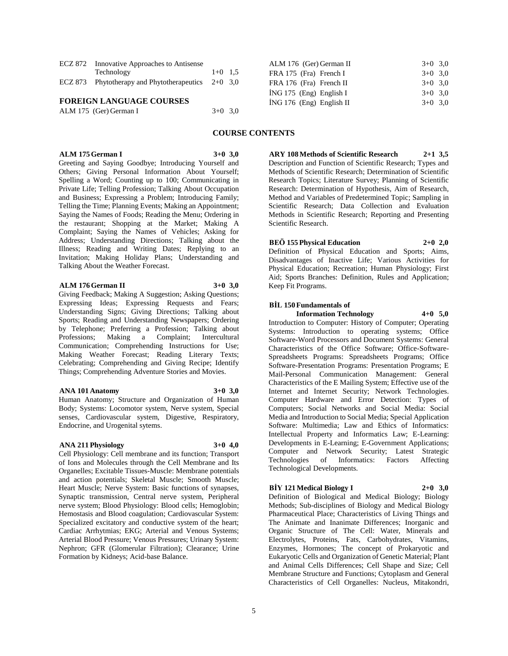| ECZ 872 | Innovative Approaches to Antisense                   |           |  |
|---------|------------------------------------------------------|-----------|--|
|         | Technology                                           | $1+0$ 1.5 |  |
|         | ECZ 873 Phytotherapy and Phytotherapeutics $2+0$ 3,0 |           |  |
|         |                                                      |           |  |

#### **FOREIGN LANGUAGE COURSES**

| ALM 175 (Ger) German I | $3+0$ 3.0 |  |
|------------------------|-----------|--|
|                        |           |  |

| ALM 175 German I | $3+0.3,0$ |
|------------------|-----------|
|------------------|-----------|

Greeting and Saying Goodbye; Introducing Yourself and Others; Giving Personal Information About Yourself; Spelling a Word; Counting up to 100; Communicating in Private Life; Telling Profession; Talking About Occupation and Business; Expressing a Problem; Introducing Family; Telling the Time; Planning Events; Making an Appointment; Saying the Names of Foods; Reading the Menu; Ordering in the restaurant; Shopping at the Market; Making A Complaint; Saying the Names of Vehicles; Asking for Address; Understanding Directions; Talking about the Illness; Reading and Writing Dates; Replying to an Invitation; Making Holiday Plans; Understanding and Talking About the Weather Forecast.

#### **ALM 176 German II 3+0 3,0**

Giving Feedback; Making A Suggestion; Asking Questions; Expressing Ideas; Expressing Requests and Fears; Understanding Signs; Giving Directions; Talking about Sports; Reading and Understanding Newspapers; Ordering by Telephone; Preferring a Profession; Talking about Professions; Making a Complaint; Intercultural Professions; Making a Complaint; Intercultural Communication; Comprehending Instructions for Use; Making Weather Forecast; Reading Literary Texts; Celebrating; Comprehending and Giving Recipe; Identify Things; Comprehending Adventure Stories and Movies.

#### **ANA 101 Anatomy 3+0 3,0**

Human Anatomy; Structure and Organization of Human Body; Systems: Locomotor system, Nerve system, Special senses, Cardiovascular system, Digestive, Respiratory, Endocrine, and Urogenital sytems.

#### **ANA 211 Physiology 3+0 4,0**

Cell Physiology: Cell membrane and its function; Transport of Ions and Molecules through the Cell Membrane and Its Organelles; Excitable Tissues-Muscle: Membrane potentials and action potentials; Skeletal Muscle; Smooth Muscle; Heart Muscle; Nerve System: Basic functions of synapses, Synaptic transmission, Central nerve system, Peripheral nerve system; Blood Physiology: Blood cells; Hemoglobin; Hemostasis and Blood coagulation; Cardiovascular System: Specialized excitatory and conductive system of the heart; Cardiac Arrhytmias; EKG; Arterial and Venous Systems; Arterial Blood Pressure; Venous Pressures; Urinary System: Nephron; GFR (Glomerular Filtration); Clearance; Urine Formation by Kidneys; Acid-base Balance.

| ALM 176 (Ger) German II    | $3+0$ 3.0 |
|----------------------------|-----------|
| FRA 175 (Fra) French I     | $3+0$ 3.0 |
| FRA 176 (Fra) French II    | $3+0$ 3.0 |
| $ING 175$ (Eng) English I  | $3+0$ 3.0 |
| $ING 176$ (Eng) English II | $3+0$ 3.0 |

### **COURSE CONTENTS**

**ARY 108 Methods of Scientific Research 2+1 3,5** Description and Function of Scientific Research; Types and Methods of Scientific Research; Determination of Scientific Research Topics; Literature Survey; Planning of Scientific Research: Determination of Hypothesis, Aim of Research, Method and Variables of Predetermined Topic; Sampling in Scientific Research; Data Collection and Evaluation Methods in Scientific Research; Reporting and Presenting Scientific Research.

#### **BEÖ 155 Physical Education 2+0 2,0**

Definition of Physical Education and Sports; Aims, Disadvantages of Inactive Life; Various Activities for Physical Education; Recreation; Human Physiology; First Aid; Sports Branches: Definition, Rules and Application; Keep Fit Programs.

#### **BİL 150 Fundamentals of**

**Information Technology 4+0 5,0** Introduction to Computer: History of Computer; Operating Systems: Introduction to operating systems; Office Software-Word Processors and Document Systems: General Characteristics of the Office Software; Office-Software-Spreadsheets Programs: Spreadsheets Programs; Office Software-Presentation Programs: Presentation Programs; E Mail-Personal Communication Management: General Characteristics of the E Mailing System; Effective use of the Internet and Internet Security; Network Technologies. Computer Hardware and Error Detection: Types of Computers; Social Networks and Social Media: Social Media and Introduction to Social Media; Special Application Software: Multimedia; Law and Ethics of Informatics: Intellectual Property and Informatics Law; E-Learning: Developments in E-Learning; E-Government Applications; Computer and Network Security; Latest Strategic Technologies of Informatics: Factors Affecting Technological Developments.

#### **BİY 121 Medical Biology I 2+0 3,0**

Definition of Biological and Medical Biology; Biology Methods; Sub-disciplines of Biology and Medical Biology Pharmaceutical Place; Characteristics of Living Things and The Animate and Inanimate Differences; Inorganic and Organic Structure of The Cell: Water, Minerals and Electrolytes, Proteins, Fats, Carbohydrates, Vitamins, Enzymes, Hormones; The concept of Prokaryotic and Eukaryotic Cells and Organization of Genetic Material; Plant and Animal Cells Differences; Cell Shape and Size; Cell Membrane Structure and Functions; Cytoplasm and General Characteristics of Cell Organelles: Nucleus, Mitakondri,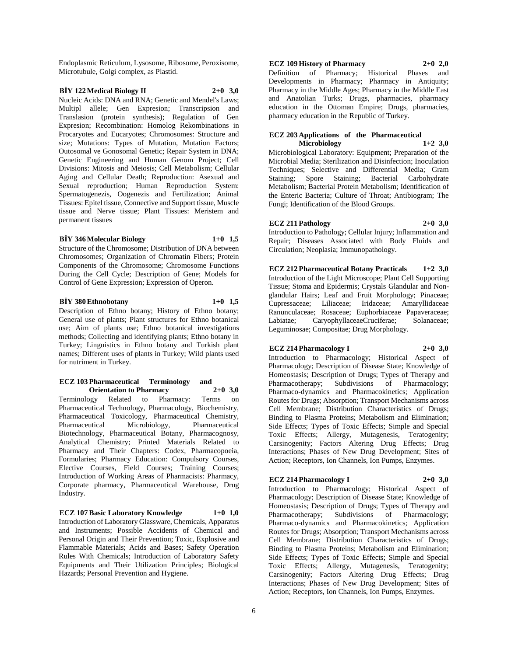Endoplasmic Reticulum, Lysosome, Ribosome, Peroxisome, Microtubule, Golgi complex, as Plastid.

### **BİY 122 Medical Biology II 2+0 3,0**

Nucleic Acids: DNA and RNA; Genetic and Mendel's Laws; Multipl allele; Gen Expresion; Transcripsion and Translasion (protein synthesis); Regulation of Gen Expresion; Recombination: Homolog Rekombinations in Procaryotes and Eucaryotes; Chromosomes: Structure and size; Mutations: Types of Mutation, Mutation Factors; Outosomal ve Gonosomal Genetic; Repair System in DNA; Genetic Engineering and Human Genom Project; Cell Divisions: Mitosis and Meiosis; Cell Metabolism; Cellular Aging and Cellular Death; Reproduction: Asexual and Sexual reproduction; Human Reproduction System: Spermatogenezis, Oogenezis and Fertilization; Animal Tissues: Epitel tissue, Connective and Support tissue, Muscle tissue and Nerve tissue; Plant Tissues: Meristem and permanent tissues

#### **BİY 346 Molecular Biology 1+0 1,5**

Structure of the Chromosome; Distribution of DNA between Chromosomes; Organization of Chromatin Fibers; Protein Components of the Chromosome; Chromosome Functions During the Cell Cycle; Description of Gene; Models for Control of Gene Expression; Expression of Operon.

#### **BİY 380 Ethnobotany 1+0 1,5**

Description of Ethno botany; History of Ethno botany; General use of plants; Plant structures for Ethno botanical use; Aim of plants use; Ethno botanical investigations methods; Collecting and identifying plants; Ethno botany in Turkey; Linguistics in Ethno botany and Turkish plant names; Different uses of plants in Turkey; Wild plants used for nutriment in Turkey.

#### **ECZ 103 Pharmaceutical Terminology and Orientation to Pharmacy 2+0 3,0**

Terminology Related to Pharmacy: Terms on Pharmaceutical Technology, Pharmacology, Biochemistry, Pharmaceutical Toxicology, Pharmaceutical Chemistry, Pharmaceutical Microbiology, Pharmaceutical Biotechnology, Pharmaceutical Botany, Pharmacognosy, Analytical Chemistry; Printed Materials Related to Pharmacy and Their Chapters: Codex, Pharmacopoeia, Formularies; Pharmacy Education: Compulsory Courses, Elective Courses, Field Courses; Training Courses; Introduction of Working Areas of Pharmacists: Pharmacy, Corporate pharmacy, Pharmaceutical Warehouse, Drug Industry.

**ECZ 107 Basic Laboratory Knowledge 1+0 1,0** Introduction of Laboratory Glassware, Chemicals, Apparatus and Instruments; Possible Accidents of Chemical and Personal Origin and Their Prevention; Toxic, Explosive and Flammable Materials; Acids and Bases; Safety Operation Rules With Chemicals; Introduction of Laboratory Safety Equipments and Their Utilization Principles; Biological Hazards; Personal Prevention and Hygiene.

# **ECZ 109 History of Pharmacy 2+0 2,0** Definition of Pharmacy; Historical Phases and

Developments in Pharmacy; Pharmacy in Antiquity; Pharmacy in the Middle Ages; Pharmacy in the Middle East and Anatolian Turks; Drugs, pharmacies, pharmacy education in the Ottoman Empire; Drugs, pharmacies, pharmacy education in the Republic of Turkey.

#### **ECZ 203 Applications of the Pharmaceutical Microbiology 1+2 3,0**

Microbiological Laboratory: Equipment; Preparation of the Microbial Media; Sterilization and Disinfection; Inoculation Techniques; Selective and Differential Media; Gram Staining; Spore Staining; Bacterial Carbohydrate Metabolism; Bacterial Protein Metabolism; Identification of the Enteric Bacteria; Culture of Throat; Antibiogram; The Fungi; Identification of the Blood Groups.

**ECZ 211 Pathology 2+0 3,0** Introduction to Pathology; Cellular Injury; Inflammation and Repair; Diseases Associated with Body Fluids and Circulation; Neoplasia; Immunopathology.

**ECZ 212 Pharmaceutical Botany Practicals 1+2 3,0** Introduction of the Light Microscope; Plant Cell Supporting Tissue; Stoma and Epidermis; Crystals Glandular and Nonglandular Hairs; Leaf and Fruit Morphology; Pinaceae; Cupressaceae; Liliaceae; Iridaceae; Amaryllidaceae Ranunculaceae; Rosaceae; Euphorbiaceae Papaveraceae; Labiatae; CaryophyllaceaeCruciferae; Solanaceae; Leguminosae; Compositae; Drug Morphology.

#### **ECZ 214 Pharmacology I 2+0 3,0**

Introduction to Pharmacology; Historical Aspect of Pharmacology; Description of Disease State; Knowledge of Homeostasis; Description of Drugs; Types of Therapy and Pharmacotherapy; Subdivisions of Pharmacology; Pharmaco-dynamics and Pharmacokinetics; Application Routes for Drugs; Absorption; Transport Mechanisms across Cell Membrane; Distribution Characteristics of Drugs; Binding to Plasma Proteins; Metabolism and Elimination; Side Effects; Types of Toxic Effects; Simple and Special Toxic Effects; Allergy, Mutagenesis, Teratogenity; Carsinogenity; Factors Altering Drug Effects; Drug Interactions; Phases of New Drug Development; Sites of Action; Receptors, Ion Channels, Ion Pumps, Enzymes.

#### **ECZ 214 Pharmacology I 2+0 3,0**

Introduction to Pharmacology; Historical Aspect of Pharmacology; Description of Disease State; Knowledge of Homeostasis; Description of Drugs; Types of Therapy and Pharmacotherapy; Subdivisions of Pharmacology; Pharmaco-dynamics and Pharmacokinetics; Application Routes for Drugs; Absorption; Transport Mechanisms across Cell Membrane; Distribution Characteristics of Drugs; Binding to Plasma Proteins; Metabolism and Elimination; Side Effects; Types of Toxic Effects; Simple and Special Toxic Effects; Allergy, Mutagenesis, Teratogenity; Carsinogenity; Factors Altering Drug Effects; Drug Interactions; Phases of New Drug Development; Sites of Action; Receptors, Ion Channels, Ion Pumps, Enzymes.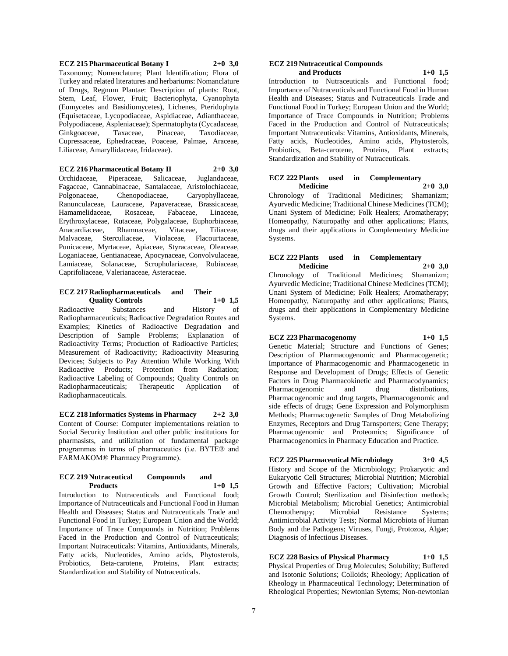**ECZ 215 Pharmaceutical Botany I 2+0 3,0** Taxonomy; Nomenclature; Plant Identification; Flora of Turkey and related literatures and herbariums: Nomanclature of Drugs, Regnum Plantae: Description of plants: Root, Stem, Leaf, Flower, Fruit; Bacteriophyta, Cyanophyta (Eumycetes and Basidiomycetes), Lichenes, Pteridophyta (Equisetaceae, Lycopodiaceae, Aspidiaceae, Adianthaceae, Polypodiaceae, Aspleniaceae); Spermatophyta (Cycadaceae, Ginkgoaceae, Taxaceae, Pinaceae, Taxodiaceae, Cupressaceae, Ephedraceae, Poaceae, Palmae, Araceae, Liliaceae, Amaryllidaceae, Iridaceae).

**ECZ 216 Pharmaceutical Botany II 2+0 3,0** Orchidaceae, Piperaceae, Salicaceae, Juglandaceae, Fagaceae, Cannabinaceae, Santalaceae, Aristolochiaceae, Polgonaceae, Chenopodiaceae, Caryophyllaceae, Ranunculaceae, Lauraceae, Papaveraceae, Brassicaceae, Hamamelidaceae, Rosaceae, Fabaceae, Linaceae, Erythroxylaceae, Rutaceae, Polygalaceae, Euphorbiaceae, Anacardiaceae, Rhamnaceae, Vitaceae, Tiliaceae, Malvaceae, Sterculiaceae, Violaceae, Flacourtaceae, Punicaceae, Myrtaceae, Apiaceae, Styracaceae, Oleaceae, Loganiaceae, Gentianaceae, Apocynaceae, Convolvulaceae, Lamiaceae, Solanaceae, Scrophulariaceae, Rubiaceae, Caprifoliaceae, Valerianaceae, Asteraceae.

### **ECZ 217 Radiopharmaceuticals and Their Quality Controls 1+0 1,5**

Radioactive Substances and History of Radiopharmaceuticals; Radioactive Degradation Routes and Examples; Kinetics of Radioactive Degradation and Description of Sample Problems; Explanation of Radioactivity Terms; Production of Radioactive Particles; Measurement of Radioactivity; Radioactivity Measuring Devices; Subjects to Pay Attention While Working With Radioactive Products; Protection from Radiation; Radioactive Labeling of Compounds; Quality Controls on Radiopharmaceuticals; Therapeutic Application of Radiopharmaceuticals.

**ECZ 218 Informatics Systems in Pharmacy 2+2 3,0** Content of Course: Computer implementations relation to Social Security Institution and other public institutions for pharmasists, and utilizitation of fundamental package programmes in terms of pharmaceutics (i.e. BYTE® and FARMAKOM® Pharmacy Programme).

#### **ECZ 219 Nutraceutical Compounds and Products 1+0 1,5**

Introduction to Nutraceuticals and Functional food; Importance of Nutraceuticals and Functional Food in Human Health and Diseases; Status and Nutraceuticals Trade and Functional Food in Turkey; European Union and the World; Importance of Trace Compounds in Nutrition; Problems Faced in the Production and Control of Nutraceuticals; Important Nutraceuticals: Vitamins, Antioxidants, Minerals, Fatty acids, Nucleotides, Amino acids, Phytosterols, Probiotics, Beta-carotene, Proteins, Plant extracts; Standardization and Stability of Nutraceuticals.

#### **ECZ 219 Nutraceutical Compounds and Products 1+0 1,5**

Introduction to Nutraceuticals and Functional food; Importance of Nutraceuticals and Functional Food in Human Health and Diseases; Status and Nutraceuticals Trade and Functional Food in Turkey; European Union and the World; Importance of Trace Compounds in Nutrition; Problems Faced in the Production and Control of Nutraceuticals; Important Nutraceuticals: Vitamins, Antioxidants, Minerals, Fatty acids, Nucleotides, Amino acids, Phytosterols, Probiotics, Beta-carotene, Proteins, Plant extracts; Standardization and Stability of Nutraceuticals.

#### **ECZ 222 Plants used in Complementary Medicine 2+0 3,0**

Chronology of Traditional Medicines; Shamanizm; Ayurvedic Medicine; Traditional Chinese Medicines (TCM); Unani System of Medicine; Folk Healers; Aromatherapy; Homeopathy, Naturopathy and other applications; Plants, drugs and their applications in Complementary Medicine Systems.

#### **ECZ 222 Plants used in Complementary Medicine 2+0 3,0**

Chronology of Traditional Medicines; Shamanizm; Ayurvedic Medicine; Traditional Chinese Medicines (TCM); Unani System of Medicine; Folk Healers; Aromatherapy; Homeopathy, Naturopathy and other applications; Plants, drugs and their applications in Complementary Medicine Systems.

#### **ECZ 223 Pharmacogenomy 1+0 1,5**

Genetic Material; Structure and Functions of Genes; Description of Pharmacogenomic and Pharmacogenetic; Importance of Pharmacogenomic and Pharmacogenetic in Response and Development of Drugs; Effects of Genetic Factors in Drug Pharmacokinetic and Pharmacodynamics; Pharmacogenomic and drug distributions, Pharmacogenomic and drug targets, Pharmacogenomic and side effects of drugs; Gene Expression and Polymorphism Methods; Pharmacogenetic Samples of Drug Metabolizing Enzymes, Receptors and Drug Tarnsporters; Gene Therapy; Pharmacogenomic and Proteomics; Significance of Pharmacogenomics in Pharmacy Education and Practice.

**ECZ 225 Pharmaceutical Microbiology 3+0 4,5** History and Scope of the Microbiology; Prokaryotic and Eukaryotic Cell Structures; Microbial Nutrition; Microbial Growth and Effective Factors; Cultivation; Microbial Growth Control; Sterilization and Disinfection methods; Microbial Metabolism; Microbial Genetics; Antimicrobial Chemotherapy; Microbial Resistance Systems; Antimicrobial Activity Tests; Normal Microbiota of Human Body and the Pathogens; Viruses, Fungi, Protozoa, Algae; Diagnosis of Infectious Diseases.

**ECZ 228 Basics of Physical Pharmacy 1+0 1,5** Physical Properties of Drug Molecules; Solubility; Buffered and Isotonic Solutions; Colloids; Rheology; Application of Rheology in Pharmaceutical Technology; Determination of Rheological Properties; Newtonian Sytems; Non-newtonian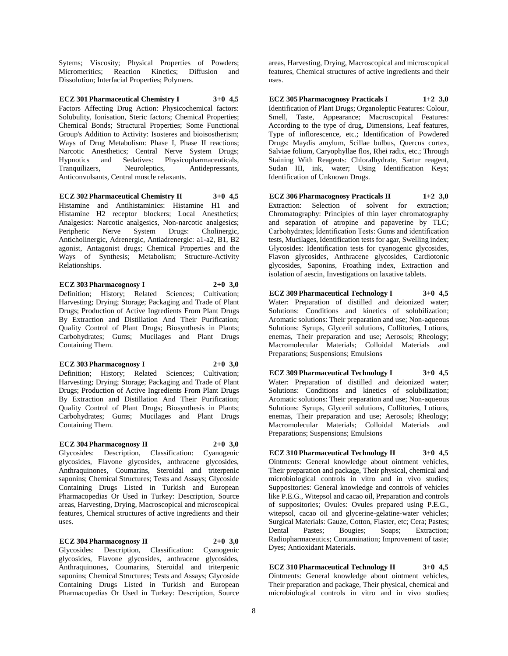Sytems; Viscosity; Physical Properties of Powders; Micromeritics; Reaction Kinetics; Diffusion and Dissolution; Interfacial Properties; Polymers.

**ECZ 301 Pharmaceutical Chemistry I 3+0 4,5** Factors Affecting Drug Action: Physicochemical factors: Solubulity, Ionisation, Steric factors; Chemical Properties; Chemical Bonds; Structural Properties; Some Functional Group's Addition to Activity: Isosteres and bioisostherism; Ways of Drug Metabolism: Phase I, Phase II reactions; Narcotic Anesthetics; Central Nerve System Drugs; Hypnotics and Sedatives: Physicopharmaceuticals, Tranquilizers, Neuroleptics, Antidepressants, Anticonvulsants, Central muscle relaxants.

**ECZ 302 Pharmaceutical Chemistry II 3+0 4,5** Histamine and Antihistaminics: Histamine H1 and Histamine H2 receptor blockers; Local Anesthetics; Analgesics: Narcotic analgesics, Non-narcotic analgesics; Peripheric Nerve System Drugs: Cholinergic, Anticholinergic, Adrenergic, Antiadrenergic: a1-a2, B1, B2 agonist, Antagonist drugs; Chemical Properties and the Ways of Synthesis; Metabolism; Structure-Activity Relationships.

**ECZ 303 Pharmacognosy I 2+0 3,0** Definition; History; Related Sciences; Cultivation; Harvesting; Drying; Storage; Packaging and Trade of Plant Drugs; Production of Active Ingredients From Plant Drugs By Extraction and Distillation And Their Purification; Quality Control of Plant Drugs; Biosynthesis in Plants; Carbohydrates; Gums; Mucilages and Plant Drugs Containing Them.

**ECZ 303 Pharmacognosy I 2+0 3,0** Definition; History; Related Sciences; Cultivation; Harvesting; Drying; Storage; Packaging and Trade of Plant Drugs; Production of Active Ingredients From Plant Drugs By Extraction and Distillation And Their Purification; Quality Control of Plant Drugs; Biosynthesis in Plants; Carbohydrates; Gums; Mucilages and Plant Drugs Containing Them.

#### **ECZ 304 Pharmacognosy II 2+0 3,0**

Glycosides: Description, Classification: Cyanogenic glycosides, Flavone glycosides, anthracene glycosides, Anthraquinones, Coumarins, Steroidal and triterpenic saponins; Chemical Structures; Tests and Assays; Glycoside Containing Drugs Listed in Turkish and European Pharmacopedias Or Used in Turkey: Description, Source areas, Harvesting, Drying, Macroscopical and microscopical features, Chemical structures of active ingredients and their uses.

#### **ECZ 304 Pharmacognosy II 2+0 3,0**

Glycosides: Description, Classification: Cyanogenic glycosides, Flavone glycosides, anthracene glycosides, Anthraquinones, Coumarins, Steroidal and triterpenic saponins; Chemical Structures; Tests and Assays; Glycoside Containing Drugs Listed in Turkish and European Pharmacopedias Or Used in Turkey: Description, Source

areas, Harvesting, Drying, Macroscopical and microscopical features, Chemical structures of active ingredients and their uses.

**ECZ 305 Pharmacognosy Practicals I 1+2 3,0** Identification of Plant Drugs; Organoleptic Features: Colour, Smell, Taste, Appearance; Macroscopical Features: According to the type of drug, Dimensions, Leaf features, Type of inflorescence, etc.; Identification of Powdered Drugs: Maydis amylum, Scillae bulbus, Quercus cortex, Salviae folium, Caryophyllae flos, Rhei radix, etc.; Through Staining With Reagents: Chloralhydrate, Sartur reagent, Sudan III, ink, water; Using Identification Keys; Identification of Unknown Drugs.

**ECZ 306 Pharmacognosy Practicals II 1+2 3,0** Extraction: Selection of solvent for extraction; Chromatography: Principles of thin layer chromatography and separation of atropine and papaverine by TLC; Carbohydrates; İdentification Tests: Gums and identification tests, Mucilages, Identification tests for agar, Swelling index; Glycosides: Identification tests for cyanogenic glycosides, Flavon glycosides, Anthracene glycosides, Cardiotonic glycosides, Saponins, Froathing index, Extraction and isolation of aescin, Investigations on laxative tablets.

**ECZ 309 Pharmaceutical Technology I 3+0 4,5** Water: Preparation of distilled and deionized water; Solutions: Conditions and kinetics of solubilization;

Aromatic solutions: Their preparation and use; Non-aqueous Solutions: Syrups, Glyceril solutions, Collitories, Lotions, enemas, Their preparation and use; Aerosols; Rheology; Macromolecular Materials; Colloidal Materials and Preparations; Suspensions; Emulsions

**ECZ 309 Pharmaceutical Technology I 3+0 4,5** Water: Preparation of distilled and deionized water; Solutions: Conditions and kinetics of solubilization; Aromatic solutions: Their preparation and use; Non-aqueous Solutions: Syrups, Glyceril solutions, Collitories, Lotions, enemas, Their preparation and use; Aerosols; Rheology; Macromolecular Materials; Colloidal Materials and Preparations; Suspensions; Emulsions

**ECZ 310 Pharmaceutical Technology II 3+0 4,5** Ointments: General knowledge about ointment vehicles, Their preparation and package, Their physical, chemical and microbiological controls in vitro and in vivo studies; Suppositories: General knowledge and controls of vehicles like P.E.G., Witepsol and cacao oil, Preparation and controls of suppositories; Ovules: Ovules prepared using P.E.G., witepsol, cacao oil and glycerine-gelatine-water vehicles; Surgical Materials: Gauze, Cotton, Flaster, etc; Cera; Pastes; Dental Pastes; Bougies; Soaps; Extraction; Radiopharmaceutics; Contamination; Improvement of taste; Dyes; Antioxidant Materials.

**ECZ 310 Pharmaceutical Technology II 3+0 4,5** Ointments: General knowledge about ointment vehicles, Their preparation and package, Their physical, chemical and microbiological controls in vitro and in vivo studies;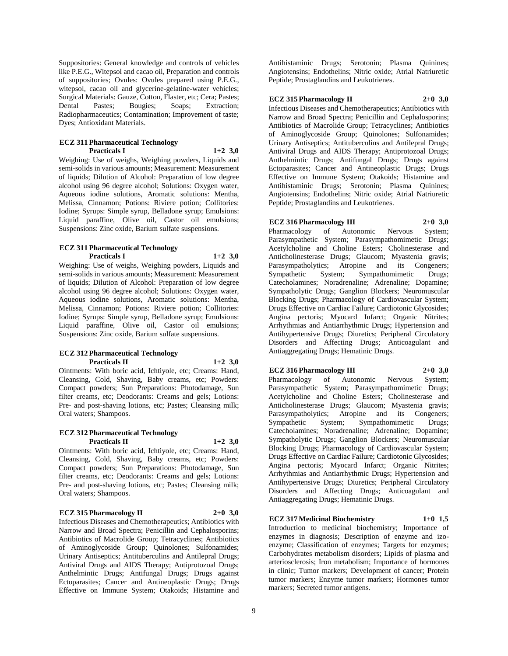Suppositories: General knowledge and controls of vehicles like P.E.G., Witepsol and cacao oil, Preparation and controls of suppositories; Ovules: Ovules prepared using P.E.G., witepsol, cacao oil and glycerine-gelatine-water vehicles; Surgical Materials: Gauze, Cotton, Flaster, etc; Cera; Pastes; Dental Pastes; Bougies; Soaps; Extraction; Radiopharmaceutics; Contamination; Improvement of taste; Dyes; Antioxidant Materials.

#### **ECZ 311 Pharmaceutical Technology Practicals I 1+2 3,0**

Weighing: Use of weighs, Weighing powders, Liquids and semi-solids in various amounts; Measurement: Measurement of liquids; Dilution of Alcohol: Preparation of low degree alcohol using 96 degree alcohol; Solutions: Oxygen water, Aqueous iodine solutions, Aromatic solutions: Mentha, Melissa, Cinnamon; Potions: Riviere potion; Collitories: Iodine; Syrups: Simple syrup, Belladone syrup; Emulsions: Liquid paraffine, Olive oil, Castor oil emulsions; Suspensions: Zinc oxide, Barium sulfate suspensions.

#### **ECZ 311 Pharmaceutical Technology Practicals I 1+2 3,0**

Weighing: Use of weighs, Weighing powders, Liquids and semi-solids in various amounts; Measurement: Measurement of liquids; Dilution of Alcohol: Preparation of low degree alcohol using 96 degree alcohol; Solutions: Oxygen water, Aqueous iodine solutions, Aromatic solutions: Mentha, Melissa, Cinnamon; Potions: Riviere potion; Collitories: Iodine; Syrups: Simple syrup, Belladone syrup; Emulsions: Liquid paraffine, Olive oil, Castor oil emulsions; Suspensions: Zinc oxide, Barium sulfate suspensions.

#### **ECZ 312 Pharmaceutical Technology Practicals II 1+2 3,0**

Ointments: With boric acid, Ichtiyole, etc; Creams: Hand, Cleansing, Cold, Shaving, Baby creams, etc; Powders: Compact powders; Sun Preparations: Photodamage, Sun filter creams, etc; Deodorants: Creams and gels; Lotions: Pre- and post-shaving lotions, etc; Pastes; Cleansing milk; Oral waters; Shampoos.

#### **ECZ 312 Pharmaceutical Technology Practicals II 1+2 3,0**

Ointments: With boric acid, Ichtiyole, etc; Creams: Hand, Cleansing, Cold, Shaving, Baby creams, etc; Powders: Compact powders; Sun Preparations: Photodamage, Sun filter creams, etc; Deodorants: Creams and gels; Lotions: Pre- and post-shaving lotions, etc; Pastes; Cleansing milk; Oral waters; Shampoos.

#### **ECZ 315 Pharmacology II 2+0 3,0**

Infectious Diseases and Chemotherapeutics; Antibiotics with Narrow and Broad Spectra; Penicillin and Cephalosporins; Antibiotics of Macrolide Group; Tetracyclines; Antibiotics of Aminoglycoside Group; Quinolones; Sulfonamides; Urinary Antiseptics; Antituberculins and Antilepral Drugs; Antiviral Drugs and AIDS Therapy; Antiprotozoal Drugs; Anthelmintic Drugs; Antifungal Drugs; Drugs against Ectoparasites; Cancer and Antineoplastic Drugs; Drugs Effective on Immune System; Otakoids; Histamine and

Antihistaminic Drugs; Serotonin; Plasma Quinines; Angiotensins; Endothelins; Nitric oxide; Atrial Natriuretic Peptide; Prostaglandins and Leukotrienes.

#### **ECZ 315 Pharmacology II 2+0 3,0**

Infectious Diseases and Chemotherapeutics; Antibiotics with Narrow and Broad Spectra; Penicillin and Cephalosporins; Antibiotics of Macrolide Group; Tetracyclines; Antibiotics of Aminoglycoside Group; Quinolones; Sulfonamides; Urinary Antiseptics; Antituberculins and Antilepral Drugs; Antiviral Drugs and AIDS Therapy; Antiprotozoal Drugs; Anthelmintic Drugs; Antifungal Drugs; Drugs against Ectoparasites; Cancer and Antineoplastic Drugs; Drugs Effective on Immune System; Otakoids; Histamine and Antihistaminic Drugs; Serotonin; Plasma Quinines; Angiotensins; Endothelins; Nitric oxide; Atrial Natriuretic Peptide; Prostaglandins and Leukotrienes.

#### **ECZ 316 Pharmacology III 2+0 3,0**

Pharmacology of Autonomic Nervous System; Parasympathetic System; Parasympathomimetic Drugs; Acetylcholine and Choline Esters; Cholinesterase and Anticholinesterase Drugs; Glaucom; Myastenia gravis; Parasympatholytics; Atropine and its Congeners; Sympathetic System; Sympathomimetic Drugs; Catecholamines; Noradrenaline; Adrenaline; Dopamine; Sympatholytic Drugs; Ganglion Blockers; Neuromuscular Blocking Drugs; Pharmacology of Cardiovascular System; Drugs Effective on Cardiac Failure; Cardiotonic Glycosides; Angina pectoris; Myocard Infarct; Organic Nitrites; Arrhythmias and Antiarrhythmic Drugs; Hypertension and Antihypertensive Drugs; Diuretics; Peripheral Circulatory Disorders and Affecting Drugs; Anticoagulant and Antiaggregating Drugs; Hematinic Drugs.

#### **ECZ 316 Pharmacology III 2+0 3,0**

Pharmacology of Autonomic Nervous System; Parasympathetic System; Parasympathomimetic Drugs; Acetylcholine and Choline Esters; Cholinesterase and Anticholinesterase Drugs; Glaucom; Myastenia gravis; Parasympatholytics; Atropine and its Congeners; Sympathetic System; Sympathomimetic Drugs; Catecholamines; Noradrenaline; Adrenaline; Dopamine; Sympatholytic Drugs; Ganglion Blockers; Neuromuscular Blocking Drugs; Pharmacology of Cardiovascular System; Drugs Effective on Cardiac Failure; Cardiotonic Glycosides; Angina pectoris; Myocard Infarct; Organic Nitrites; Arrhythmias and Antiarrhythmic Drugs; Hypertension and Antihypertensive Drugs; Diuretics; Peripheral Circulatory Disorders and Affecting Drugs; Anticoagulant and Antiaggregating Drugs; Hematinic Drugs.

### **ECZ 317 Medicinal Biochemistry 1+0 1,5**

Introduction to medicinal biochemistry; Importance of enzymes in diagnosis; Description of enzyme and izoenzyme; Classification of enzymes; Targets for enzymes; Carbohydrates metabolism disorders; Lipids of plasma and arteriosclerosis; Iron metabolism; Importance of hormones in clinic; Tumor markers; Development of cancer; Protein tumor markers; Enzyme tumor markers; Hormones tumor markers; Secreted tumor antigens.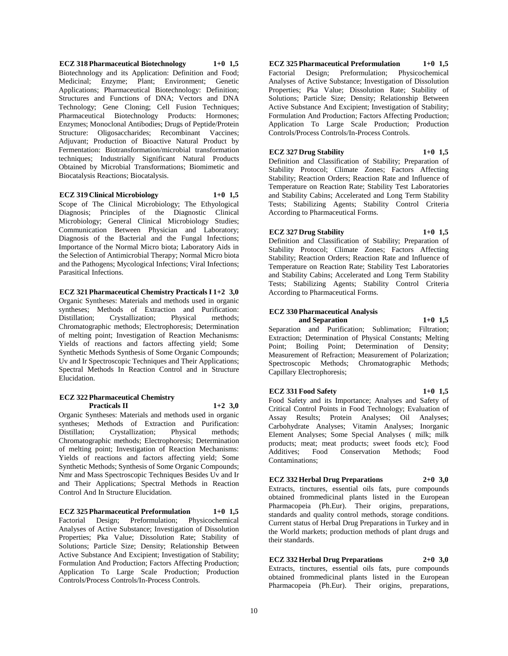**ECZ 318 Pharmaceutical Biotechnology 1+0 1,5** Biotechnology and its Application: Definition and Food; Medicinal; Enzyme; Plant; Environment; Genetic Applications; Pharmaceutical Biotechnology: Definition; Structures and Functions of DNA; Vectors and DNA Technology; Gene Cloning; Cell Fusion Techniques; Pharmaceutical Biotechnology Products: Hormones; Enzymes; Monoclonal Antibodies; Drugs of Peptide/Protein Structure: Oligosaccharides; Recombinant Vaccines; Adjuvant; Production of Bioactive Natural Product by Fermentation: Biotransformation/microbial transformation techniques; Industrially Significant Natural Products Obtained by Microbial Transformations; Biomimetic and Biocatalysis Reactions; Biocatalysis.

#### **ECZ 319 Clinical Microbiology 1+0 1,5**

Scope of The Clinical Microbiology; The Ethyological Diagnosis; Principles of the Diagnostic Clinical Microbiology; General Clinical Microbiology Studies; Communication Between Physician and Laboratory; Diagnosis of the Bacterial and the Fungal Infections; Importance of the Normal Micro biota; Laboratory Aids in the Selection of Antimicrobial Therapy; Normal Micro biota and the Pathogens; Mycological Infections; Viral Infections; Parasitical Infections.

#### **ECZ 321 Pharmaceutical Chemistry Practicals I 1+2 3,0**

Organic Syntheses: Materials and methods used in organic syntheses; Methods of Extraction and Purification: Distillation; Crystallization; Physical methods; Chromatographic methods; Electrophoresis; Determination of melting point; Investigation of Reaction Mechanisms: Yields of reactions and factors affecting yield; Some Synthetic Methods Synthesis of Some Organic Compounds; Uv and Ir Spectroscopic Techniques and Their Applications; Spectral Methods In Reaction Control and in Structure Elucidation.

#### **ECZ 322 Pharmaceutical Chemistry Practicals II 1+2 3,0**

Organic Syntheses: Materials and methods used in organic syntheses; Methods of Extraction and Purification:<br>Distillation; Crystallization; Physical methods; Distillation; Crystallization; Physical methods; Chromatographic methods; Electrophoresis; Determination of melting point; Investigation of Reaction Mechanisms: Yields of reactions and factors affecting yield; Some Synthetic Methods; Synthesis of Some Organic Compounds; Nmr and Mass Spectroscopic Techniques Besides Uv and Ir and Their Applications; Spectral Methods in Reaction Control And In Structure Elucidation.

#### **ECZ 325 Pharmaceutical Preformulation 1+0 1,5**

Factorial Design; Preformulation; Physicochemical Analyses of Active Substance; Investigation of Dissolution Properties; Pka Value; Dissolution Rate; Stability of Solutions; Particle Size; Density; Relationship Between Active Substance And Excipient; Investigation of Stability; Formulation And Production; Factors Affecting Production; Application To Large Scale Production; Production Controls/Process Controls/In-Process Controls.

#### **ECZ 325 Pharmaceutical Preformulation 1+0 1,5** Factorial Design; Preformulation; Physicochemical Analyses of Active Substance; Investigation of Dissolution Properties; Pka Value; Dissolution Rate; Stability of Solutions; Particle Size; Density; Relationship Between Active Substance And Excipient; Investigation of Stability; Formulation And Production; Factors Affecting Production; Application To Large Scale Production; Production Controls/Process Controls/In-Process Controls.

#### **ECZ 327 Drug Stability 1+0 1,5**

Definition and Classification of Stability; Preparation of Stability Protocol; Climate Zones; Factors Affecting Stability; Reaction Orders; Reaction Rate and Influence of Temperature on Reaction Rate; Stability Test Laboratories and Stability Cabins; Accelerated and Long Term Stability Tests; Stabilizing Agents; Stability Control Criteria According to Pharmaceutical Forms.

#### **ECZ 327 Drug Stability 1+0 1,5**

Definition and Classification of Stability; Preparation of Stability Protocol; Climate Zones; Factors Affecting Stability; Reaction Orders; Reaction Rate and Influence of Temperature on Reaction Rate; Stability Test Laboratories and Stability Cabins; Accelerated and Long Term Stability Tests; Stabilizing Agents; Stability Control Criteria According to Pharmaceutical Forms.

### **ECZ 330 Pharmaceutical Analysis**

**and Separation 1+0 1,5**

Separation and Purification; Sublimation; Filtration; Extraction; Determination of Physical Constants; Melting Point; Boiling Point; Determination of Density; Measurement of Refraction; Measurement of Polarization; Spectroscopic Methods; Chromatographic Methods; Capillary Electrophoresis;

#### **ECZ 331 Food Safety 1+0 1,5**

Food Safety and its Importance; Analyses and Safety of Critical Control Points in Food Technology; Evaluation of Assay Results; Protein Analyses; Oil Analyses; Carbohydrate Analyses; Vitamin Analyses; Inorganic Element Analyses; Some Special Analyses ( milk; milk products; meat; meat products; sweet foods etc); Food Additives; Food Conservation Methods; Food Contaminations;

### **ECZ 332 Herbal Drug Preparations 2+0 3,0**

Extracts, tinctures, essential oils fats, pure compounds obtained frommedicinal plants listed in the European Pharmacopeia (Ph.Eur). Their origins, preparations, standards and quality control methods, storage conditions. Current status of Herbal Drug Preparations in Turkey and in the World markets; production methods of plant drugs and their standards.

### **ECZ 332 Herbal Drug Preparations 2+0 3,0**

Extracts, tinctures, essential oils fats, pure compounds obtained frommedicinal plants listed in the European Pharmacopeia (Ph.Eur). Their origins, preparations,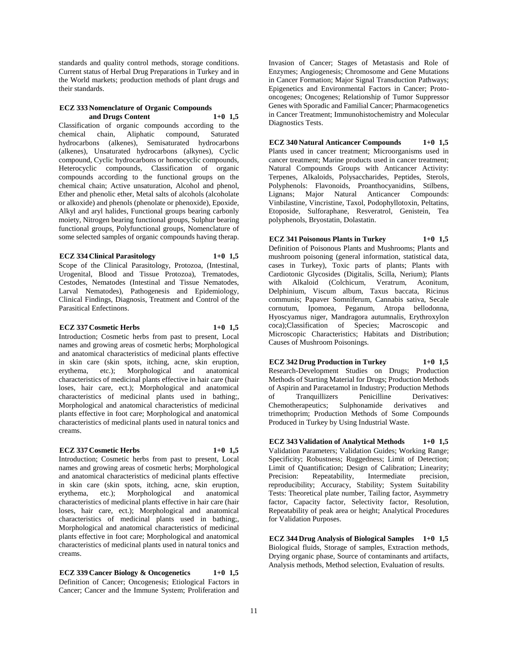standards and quality control methods, storage conditions. Current status of Herbal Drug Preparations in Turkey and in the World markets; production methods of plant drugs and their standards.

#### **ECZ 333 Nomenclature of Organic Compounds and Drugs Content 1+0 1,5**

Classification of organic compounds according to the chemical chain, Aliphatic compound, Saturated hydrocarbons (alkenes), Semisaturated hydrocarbons (alkenes), Unsaturated hydrocarbons (alkynes), Cyclic compound, Cyclic hydrocarbons or homocyclic compounds, Heterocyclic compounds, Classification of organic compounds according to the functional groups on the chemical chain; Active unsaturation, Alcohol and phenol, Ether and phenolic ether, Metal salts of alcohols (alcoholate or alkoxide) and phenols (phenolate or phenoxide), Epoxide, Alkyl and aryl halides, Functional groups bearing carbonly moiety, Nitrogen bearing functional groups, Sulphur bearing functional groups, Polyfunctional groups, Nomenclature of some selected samples of organic compounds having therap.

#### **ECZ 334 Clinical Parasitology 1+0 1,5**

Scope of the Clinical Parasitology, Protozoa, (Intestinal, Urogenital, Blood and Tissue Protozoa), Trematodes, Cestodes, Nematodes (Intestinal and Tissue Nematodes, Larval Nematodes), Pathogenesis and Epidemiology, Clinical Findings, Diagnosis, Treatment and Control of the Parasitical Enfectinons.

#### **ECZ 337 Cosmetic Herbs 1+0 1,5**

Introduction; Cosmetic herbs from past to present, Local names and growing areas of cosmetic herbs; Morphological and anatomical characteristics of medicinal plants effective in skin care (skin spots, itching, acne, skin eruption, erythema, etc.); Morphological and anatomical characteristics of medicinal plants effective in hair care (hair loses, hair care, ect.); Morphological and anatomical characteristics of medicinal plants used in bathing;, Morphological and anatomical characteristics of medicinal plants effective in foot care; Morphological and anatomical characteristics of medicinal plants used in natural tonics and creams.

#### **ECZ 337 Cosmetic Herbs 1+0 1,5**

Introduction; Cosmetic herbs from past to present, Local names and growing areas of cosmetic herbs; Morphological and anatomical characteristics of medicinal plants effective in skin care (skin spots, itching, acne, skin eruption, erythema, etc.); Morphological and anatomical characteristics of medicinal plants effective in hair care (hair loses, hair care, ect.); Morphological and anatomical characteristics of medicinal plants used in bathing;, Morphological and anatomical characteristics of medicinal plants effective in foot care; Morphological and anatomical characteristics of medicinal plants used in natural tonics and creams.

**ECZ 339 Cancer Biology & Oncogenetics 1+0 1,5** Definition of Cancer; Oncogenesis; Etiological Factors in Cancer; Cancer and the Immune System; Proliferation and

Invasion of Cancer; Stages of Metastasis and Role of Enzymes; Angiogenesis; Chromosome and Gene Mutations in Cancer Formation; Major Signal Transduction Pathways; Epigenetics and Environmental Factors in Cancer; Protooncogenes; Oncogenes; Relationship of Tumor Suppressor Genes with Sporadic and Familial Cancer; Pharmacogenetics in Cancer Treatment; Immunohistochemistry and Molecular Diagnostics Tests.

## **ECZ 340 Natural Anticancer Compounds 1+0 1,5**

Plants used in cancer treatment; Microorganisms used in cancer treatment; Marine products used in cancer treatment; Natural Compounds Groups with Anticancer Activity: Terpenes, Alkaloids, Polysaccharides, Peptides, Sterols, Polyphenols: Flavonoids, Proanthocyanidins, Stilbens, Lignans; Major Natural Anticancer Compounds: Vinbilastine, Vincristine, Taxol, Podophyllotoxin, Peltatins, Etoposide, Sulforaphane, Resveratrol, Genistein, Tea polyphenols, Bryostatin, Dolastatin.

### **ECZ 341 Poisonous Plants in Turkey 1+0 1,5**

Definition of Poisonous Plants and Mushrooms; Plants and mushroom poisoning (general information, statistical data, cases in Turkey), Toxic parts of plants; Plants with Cardiotonic Glycosides (Digitalis, Scilla, Nerium); Plants with Alkaloid (Colchicum, Veratrum, Aconitum, Delphinium, Viscum album, Taxus baccata, Ricinus communis; Papaver Somniferum, Cannabis sativa, Secale cornutum, Ipomoea, Peganum, Atropa bellodonna, Hyoscyamus niger, Mandragora autumnalis, Erythroxylon coca);Classification of Species; Macroscopic and Microscopic Characteristics; Habitats and Distribution; Causes of Mushroom Poisonings.

**ECZ 342 Drug Production in Turkey 1+0 1,5** Research-Development Studies on Drugs; Production Methods of Starting Material for Drugs; Production Methods of Aspirin and Paracetamol in Industry; Production Methods of Tranquillizers Penicilline Derivatives: Chemotherapeutics; Sulphonamide derivatives and trimethoprim; Production Methods of Some Compounds Produced in Turkey by Using Industrial Waste.

**ECZ 343 Validation of Analytical Methods 1+0 1,5** Validation Parameters; Validation Guides; Working Range; Specificity; Robustness; Ruggedness; Limit of Detection; Limit of Quantification; Design of Calibration; Linearity; Precision: Repeatability, Intermediate precision, reproducibility; Accuracy, Stability; System Suitability Tests: Theoretical plate number, Tailing factor, Asymmetry factor, Capacity factor, Selectivity factor, Resolution, Repeatability of peak area or height; Analytical Procedures for Validation Purposes.

**ECZ 344 Drug Analysis of Biological Samples 1+0 1,5** Biological fluids, Storage of samples, Extraction methods, Drying organic phase, Source of contaminants and artifacts, Analysis methods, Method selection, Evaluation of results.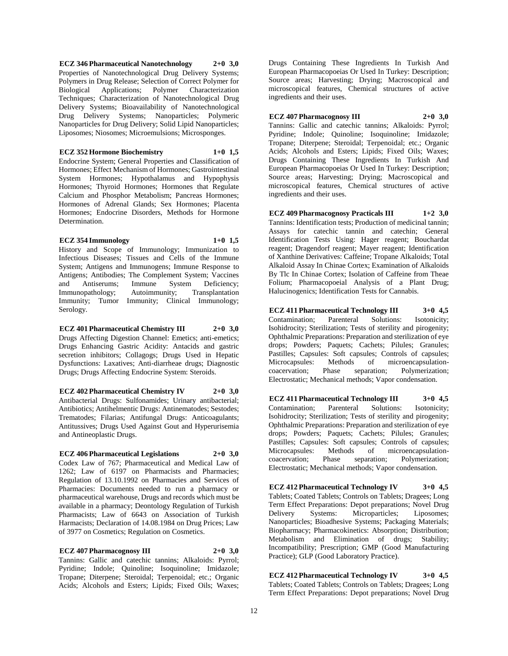**ECZ 346 Pharmaceutical Nanotechnology 2+0 3,0** Properties of Nanotechnological Drug Delivery Systems; Polymers in Drug Release; Selection of Correct Polymer for Biological Applications; Polymer Characterization Techniques; Characterization of Nanotechnological Drug Delivery Systems; Bioavailability of Nanotechnological Drug Delivery Systems; Nanoparticles; Polymeric Nanoparticles for Drug Delivery; Solid Lipid Nanoparticles; Liposomes; Niosomes; Microemulsions; Microsponges.

### **ECZ 352 Hormone Biochemistry 1+0 1,5**

Endocrine System; General Properties and Classification of Hormones; Effect Mechanism of Hormones; Gastrointestinal System Hormones; Hypothalamus and Hypophysis Hormones; Thyroid Hormones; Hormones that Regulate Calcium and Phosphor Metabolism; Pancreas Hormones; Hormones of Adrenal Glands; Sex Hormones; Placenta Hormones; Endocrine Disorders, Methods for Hormone Determination.

#### **ECZ 354 Immunology 1+0 1,5**

History and Scope of Immunology; Immunization to Infectious Diseases; Tissues and Cells of the Immune System; Antigens and Immunogens; Immune Response to Antigens; Antibodies; The Complement System; Vaccines<br>and Antiserums; Immune System Deficiency; and Antiserums; Immune System Deficiency; Immunopathology; Autoimmunity; Transplantation Immunity; Tumor Immunity; Clinical Immunology; Serology.

**ECZ 401 Pharmaceutical Chemistry III 2+0 3,0** Drugs Affecting Digestion Channel: Emetics; anti-emetics; Drugs Enhancing Gastric Acidity: Antacids and gastric secretion inhibitors; Collagogs; Drugs Used in Hepatic Dysfunctions: Laxatives; Anti-diarrheae drugs; Diagnostic Drugs; Drugs Affecting Endocrine System: Steroids.

**ECZ 402 Pharmaceutical Chemistry IV 2+0 3,0** Antibacterial Drugs: Sulfonamides; Urinary antibacterial; Antibiotics; Antihelmentic Drugs: Antinematodes; Sestodes; Trematodes; Filarias; Antifungal Drugs: Anticoagulants; Antitussives; Drugs Used Against Gout and Hyperurisemia and Antineoplastic Drugs.

#### **ECZ 406 Pharmaceutical Legislations 2+0 3,0**

Codex Law of 767; Pharmaceutical and Medical Law of 1262; Law of 6197 on Pharmacists and Pharmacies; Regulation of 13.10.1992 on Pharmacies and Services of Pharmacies: Documents needed to run a pharmacy or pharmaceutical warehouse, Drugs and records which must be available in a pharmacy; Deontology Regulation of Turkish Pharmacists; Law of 6643 on Association of Turkish Harmacists; Declaration of 14.08.1984 on Drug Prices; Law of 3977 on Cosmetics; Regulation on Cosmetics.

**ECZ 407 Pharmacognosy III 2+0 3,0** Tannins: Gallic and catechic tannins; Alkaloids: Pyrrol; Pyridine; Indole; Quinoline; Isoquinoline; Imidazole; Tropane; Diterpene; Steroidal; Terpenoidal; etc.; Organic Acids; Alcohols and Esters; Lipids; Fixed Oils; Waxes;

Drugs Containing These Ingredients In Turkish And European Pharmacopoeias Or Used In Turkey: Description; Source areas; Harvesting; Drying; Macroscopical and microscopical features, Chemical structures of active ingredients and their uses.

**ECZ 407 Pharmacognosy III 2+0 3,0** Tannins: Gallic and catechic tannins; Alkaloids: Pyrrol; Pyridine; Indole; Quinoline; Isoquinoline; Imidazole; Tropane; Diterpene; Steroidal; Terpenoidal; etc.; Organic Acids; Alcohols and Esters; Lipids; Fixed Oils; Waxes; Drugs Containing These Ingredients In Turkish And European Pharmacopoeias Or Used In Turkey: Description; Source areas; Harvesting; Drying; Macroscopical and microscopical features, Chemical structures of active ingredients and their uses.

**ECZ 409 Pharmacognosy Practicals III 1+2 3,0** Tannins: Identification tests; Production of medicinal tannin; Assays for catechic tannin and catechin; General Identification Tests Using: Hager reagent; Bouchardat reagent; Dragendorf reagent; Mayer reagent; Identification of Xanthine Derivatives: Caffeine; Tropane Alkaloids; Total Alkaloid Assay In Chinae Cortex; Examination of Alkaloids By Tlc In Chinae Cortex; Isolation of Caffeine from Theae Folium; Pharmacopoeial Analysis of a Plant Drug; Halucinogenics; Identification Tests for Cannabis.

**ECZ 411 Pharmaceutical Technology III 3+0 4,5** Contamination; Parenteral Solutions: Isotonicity; Isohidrocity; Sterilization; Tests of sterility and pirogenity; Ophthalmic Preparations: Preparation and sterilization of eye drops; Powders; Paquets; Cachets; Pilules; Granules; Pastilles; Capsules: Soft capsules; Controls of capsules; Microcapsules: Methods of microencapsulationcoacervation; Phase separation; Polymerization; Electrostatic; Mechanical methods; Vapor condensation.

**ECZ 411 Pharmaceutical Technology III 3+0 4,5** Contamination; Parenteral Solutions: Isotonicity; Isohidrocity; Sterilization; Tests of sterility and pirogenity; Ophthalmic Preparations: Preparation and sterilization of eye drops; Powders; Paquets; Cachets; Pilules; Granules; Pastilles; Capsules: Soft capsules; Controls of capsules; Microcapsules: Methods of microencapsulationcoacervation; Phase separation; Polymerization; Electrostatic; Mechanical methods; Vapor condensation.

**ECZ 412 Pharmaceutical Technology IV 3+0 4,5** Tablets; Coated Tablets; Controls on Tablets; Dragees; Long Term Effect Preparations: Depot preparations; Novel Drug Delivery Systems: Microparticles; Liposomes; Nanoparticles; Bioadhesive Systems; Packaging Materials; Biopharmacy; Pharmacokinetics: Absorption; Distribution; Metabolism and Elimination of drugs; Stability; Incompatibility; Prescription; GMP (Good Manufacturing Practice); GLP (Good Laboratory Practice).

**ECZ 412 Pharmaceutical Technology IV 3+0 4,5** Tablets; Coated Tablets; Controls on Tablets; Dragees; Long Term Effect Preparations: Depot preparations; Novel Drug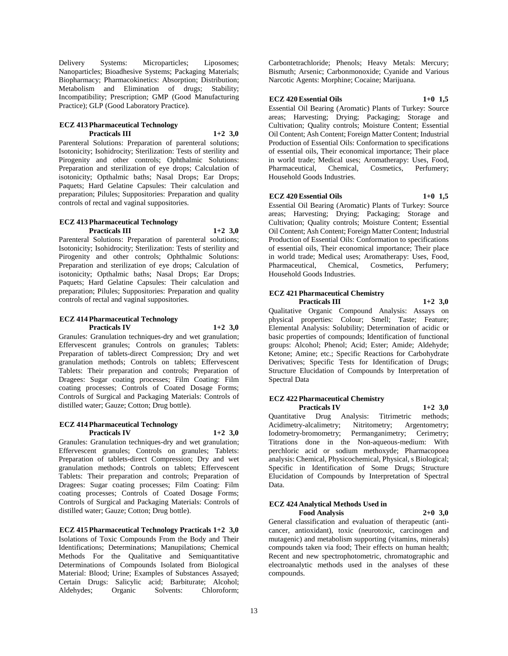Delivery Systems: Microparticles; Liposomes; Nanoparticles; Bioadhesive Systems; Packaging Materials; Biopharmacy; Pharmacokinetics: Absorption; Distribution; Metabolism and Elimination of drugs; Stability; Incompatibility; Prescription; GMP (Good Manufacturing Practice); GLP (Good Laboratory Practice).

#### **ECZ 413 Pharmaceutical Technology Practicals III 1+2 3,0**

Parenteral Solutions: Preparation of parenteral solutions; Isotonicity; Isohidrocity; Sterilization: Tests of sterility and Pirogenity and other controls; Ophthalmic Solutions: Preparation and sterilization of eye drops; Calculation of isotonicity; Opthalmic baths; Nasal Drops; Ear Drops; Paquets; Hard Gelatine Capsules: Their calculation and preparation; Pilules; Suppositories: Preparation and quality controls of rectal and vaginal suppositories.

#### **ECZ 413 Pharmaceutical Technology Practicals III 1+2 3,0**

Parenteral Solutions: Preparation of parenteral solutions; Isotonicity; Isohidrocity; Sterilization: Tests of sterility and Pirogenity and other controls; Ophthalmic Solutions: Preparation and sterilization of eye drops; Calculation of isotonicity; Opthalmic baths; Nasal Drops; Ear Drops; Paquets; Hard Gelatine Capsules: Their calculation and preparation; Pilules; Suppositories: Preparation and quality controls of rectal and vaginal suppositories.

#### **ECZ 414 Pharmaceutical Technology Practicals IV 1+2 3,0**

Granules: Granulation techniques-dry and wet granulation; Effervescent granules; Controls on granules; Tablets: Preparation of tablets-direct Compression; Dry and wet granulation methods; Controls on tablets; Effervescent Tablets: Their preparation and controls; Preparation of Dragees: Sugar coating processes; Film Coating: Film coating processes; Controls of Coated Dosage Forms; Controls of Surgical and Packaging Materials: Controls of distilled water; Gauze; Cotton; Drug bottle).

#### **ECZ 414 Pharmaceutical Technology Practicals IV 1+2 3,0**

Granules: Granulation techniques-dry and wet granulation; Effervescent granules; Controls on granules; Tablets: Preparation of tablets-direct Compression; Dry and wet granulation methods; Controls on tablets; Effervescent Tablets: Their preparation and controls; Preparation of Dragees: Sugar coating processes; Film Coating: Film coating processes; Controls of Coated Dosage Forms; Controls of Surgical and Packaging Materials: Controls of distilled water; Gauze; Cotton; Drug bottle).

**ECZ 415 Pharmaceutical Technology Practicals 1+2 3,0** Isolations of Toxic Compounds From the Body and Their Identifications; Determinations; Manupilations; Chemical Methods For the Qualitative and Semiquantitative Determinations of Compounds Isolated from Biological Material: Blood; Urine; Examples of Substances Assayed; Certain Drugs: Salicylic acid; Barbiturate; Alcohol; Aldehydes; Organic Solvents: Chloroform;

Carbontetrachloride; Phenols; Heavy Metals: Mercury; Bismuth; Arsenic; Carbonmonoxide; Cyanide and Various Narcotic Agents: Morphine; Cocaine; Marijuana.

### **ECZ 420 Essential Oils 1+0 1,5**

Essential Oil Bearing (Aromatic) Plants of Turkey: Source areas; Harvesting; Drying; Packaging; Storage and Cultivation; Quality controls; Moisture Content; Essential Oil Content; Ash Content; Foreign Matter Content; Industrial Production of Essential Oils: Conformation to specifications of essential oils, Their economical importance; Their place in world trade; Medical uses; Aromatherapy: Uses, Food, Pharmaceutical, Chemical, Cosmetics, Perfumery; Household Goods Industries.

#### **ECZ 420 Essential Oils 1+0 1,5**

Essential Oil Bearing (Aromatic) Plants of Turkey: Source areas; Harvesting; Drying; Packaging; Storage and Cultivation; Quality controls; Moisture Content; Essential Oil Content; Ash Content; Foreign Matter Content; Industrial Production of Essential Oils: Conformation to specifications of essential oils, Their economical importance; Their place in world trade; Medical uses; Aromatherapy: Uses, Food, Pharmaceutical, Chemical, Cosmetics, Perfumery; Household Goods Industries.

#### **ECZ 421 Pharmaceutical Chemistry Practicals III 1+2 3,0**

Qualitative Organic Compound Analysis: Assays on physical properties: Colour; Smell; Taste; Feature; Elemental Analysis: Solubility; Determination of acidic or basic properties of compounds; Identification of functional groups: Alcohol; Phenol; Acid; Ester; Amide; Aldehyde; Ketone; Amine; etc.; Specific Reactions for Carbohydrate Derivatives; Specific Tests for Identification of Drugs; Structure Elucidation of Compounds by Interpretation of Spectral Data

### **ECZ 422 Pharmaceutical Chemistry**

**Practicals IV 1+2 3,0** Quantitative Drug Analysis: Titrimetric methods; Acidimetry-alcalimetry; Nitritometry; Argentometry; Iodometry-bromometry; Permanganimetry; Cerimetry; Titrations done in the Non-aqueous-medium: With perchloric acid or sodium methoxyde; Pharmacopoea analysis: Chemical, Physicochemical, Physical, s Biological; Specific in Identification of Some Drugs; Structure Elucidation of Compounds by Interpretation of Spectral Data.

#### **ECZ 424 Analytical Methods Used in Food Analysis 2+0 3,0**

General classification and evaluation of therapeutic (anticancer, antioxidant), toxic (neurotoxic, carcinogen and mutagenic) and metabolism supporting (vitamins, minerals) compounds taken via food; Their effects on human health; Recent and new spectrophotometric, chromatographic and electroanalytic methods used in the analyses of these compounds.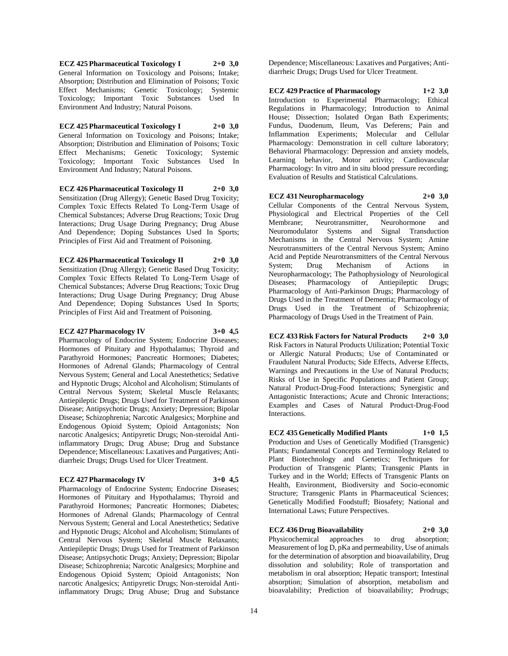**ECZ 425 Pharmaceutical Toxicology I 2+0 3,0** General Information on Toxicology and Poisons; Intake; Absorption; Distribution and Elimination of Poisons; Toxic Effect Mechanisms; Genetic Toxicology; Systemic Toxicology; Important Toxic Substances Used In Environment And Industry; Natural Poisons.

#### **ECZ 425 Pharmaceutical Toxicology I 2+0 3,0**

General Information on Toxicology and Poisons; Intake; Absorption; Distribution and Elimination of Poisons; Toxic Effect Mechanisms; Genetic Toxicology; Systemic Toxicology; Important Toxic Substances Used In Environment And Industry; Natural Poisons.

**ECZ 426 Pharmaceutical Toxicology II 2+0 3,0** Sensitization (Drug Allergy); Genetic Based Drug Toxicity; Complex Toxic Effects Related To Long-Term Usage of Chemical Substances; Adverse Drug Reactions; Toxic Drug Interactions; Drug Usage During Pregnancy; Drug Abuse And Dependence; Doping Substances Used In Sports; Principles of First Aid and Treatment of Poisoning.

**ECZ 426 Pharmaceutical Toxicology II 2+0 3,0** Sensitization (Drug Allergy); Genetic Based Drug Toxicity; Complex Toxic Effects Related To Long-Term Usage of Chemical Substances; Adverse Drug Reactions; Toxic Drug Interactions; Drug Usage During Pregnancy; Drug Abuse And Dependence; Doping Substances Used In Sports; Principles of First Aid and Treatment of Poisoning.

### **ECZ 427 Pharmacology IV 3+0 4,5**

Pharmacology of Endocrine System; Endocrine Diseases; Hormones of Pituitary and Hypothalamus; Thyroid and Parathyroid Hormones; Pancreatic Hormones; Diabetes; Hormones of Adrenal Glands; Pharmacology of Central Nervous System; General and Local Anestethetics; Sedative and Hypnotic Drugs; Alcohol and Alcoholism; Stimulants of Central Nervous System; Skeletal Muscle Relaxants; Antiepileptic Drugs; Drugs Used for Treatment of Parkinson Disease; Antipsychotic Drugs; Anxiety; Depression; Bipolar Disease; Schizophrenia; Narcotic Analgesics; Morphine and Endogenous Opioid System; Opioid Antagonists; Non narcotic Analgesics; Antipyretic Drugs; Non-steroidal Antiinflammatory Drugs; Drug Abuse; Drug and Substance Dependence; Miscellaneous: Laxatives and Purgatives; Antidiarrheic Drugs; Drugs Used for Ulcer Treatment.

#### **ECZ 427 Pharmacology IV 3+0 4,5**

Pharmacology of Endocrine System; Endocrine Diseases; Hormones of Pituitary and Hypothalamus; Thyroid and Parathyroid Hormones; Pancreatic Hormones; Diabetes; Hormones of Adrenal Glands; Pharmacology of Central Nervous System; General and Local Anestethetics; Sedative and Hypnotic Drugs; Alcohol and Alcoholism; Stimulants of Central Nervous System; Skeletal Muscle Relaxants; Antiepileptic Drugs; Drugs Used for Treatment of Parkinson Disease; Antipsychotic Drugs; Anxiety; Depression; Bipolar Disease; Schizophrenia; Narcotic Analgesics; Morphine and Endogenous Opioid System; Opioid Antagonists; Non narcotic Analgesics; Antipyretic Drugs; Non-steroidal Antiinflammatory Drugs; Drug Abuse; Drug and Substance

Dependence; Miscellaneous: Laxatives and Purgatives; Antidiarrheic Drugs; Drugs Used for Ulcer Treatment.

**ECZ 429 Practice of Pharmacology 1+2 3,0** Introduction to Experimental Pharmacology; Ethical Regulations in Pharmacology; Introduction to Animal House; Dissection; Isolated Organ Bath Experiments; Fundus, Duodenum, Ileum, Vas Deferens; Pain and Inflammation Experiments; Molecular and Cellular Pharmacology: Demonstration in cell culture laboratory; Behavioral Pharmacology: Depression and anxiety models, Learning behavior, Motor activity; Cardiovascular Pharmacology: In vitro and in situ blood pressure recording; Evaluation of Results and Statistical Calculations.

**ECZ 431 Neuropharmacology 2+0 3,0** Cellular Components of the Central Nervous System, Physiological and Electrical Properties of the Cell Membrane; Neurotransmitter, Neurohormone and Neuromodulator Systems and Signal Transduction Mechanisms in the Central Nervous System; Amine Neurotransmitters of the Central Nervous System; Amino Acid and Peptide Neurotransmitters of the Central Nervous System; Drug Mechanism of Actions in Neuropharmacology; The Pathophysiology of Neurological Diseases; Pharmacology of Antiepileptic Drugs; Pharmacology of Anti-Parkinson Drugs; Pharmacology of Drugs Used in the Treatment of Dementia; Pharmacology of Drugs Used in the Treatment of Schizophrenia; Pharmacology of Drugs Used in the Treatment of Pain.

**ECZ 433 Risk Factors for Natural Products 2+0 3,0** Risk Factors in Natural Products Utilization; Potential Toxic or Allergic Natural Products; Use of Contaminated or Fraudulent Natural Products; Side Effects, Adverse Effects, Warnings and Precautions in the Use of Natural Products; Risks of Use in Specific Populations and Patient Group; Natural Product-Drug-Food Interactions; Synergistic and Antagonistic Interactions; Acute and Chronic Interactions; Examples and Cases of Natural Product-Drug-Food Interactions.

**ECZ 435 Genetically Modified Plants 1+0 1,5**

Production and Uses of Genetically Modified (Transgenic) Plants; Fundamental Concepts and Terminology Related to Plant Biotechnology and Genetics; Techniques for Production of Transgenic Plants; Transgenic Plants in Turkey and in the World; Effects of Transgenic Plants on Health, Environment, Biodiversity and Socio-economic Structure; Transgenic Plants in Pharmaceutical Sciences; Genetically Modified Foodstuff; Biosafety; National and International Laws; Future Perspectives.

**ECZ 436 Drug Bioavailability 2+0 3,0** Physicochemical approaches to drug absorption; Measurement of log D, pKa and permeability, Use of animals for the determination of absorption and bioavailability, Drug dissolution and solubility; Role of transportation and metabolism in oral absorption; Hepatic transport; Intestinal

absorption; Simulation of absorption, metabolism and bioavalability; Prediction of bioavailability; Prodrugs;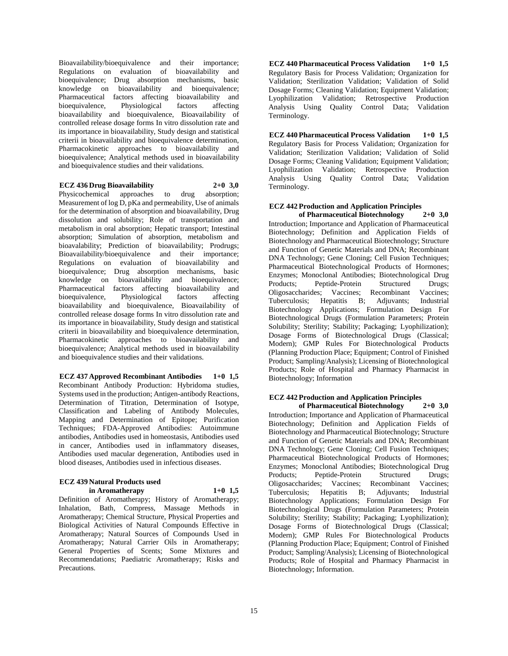Bioavailability/bioequivalence and their importance; Regulations on evaluation of bioavailability and bioequivalence; Drug absorption mechanisms, basic knowledge on bioavailability and bioequivalence; Pharmaceutical factors affecting bioavailability and bioequivalence, Physiological factors affecting bioavailability and bioequivalence, Bioavailability of controlled release dosage forms In vitro dissolution rate and its importance in bioavailability, Study design and statistical criterii in bioavailability and bioequivalence determination, Pharmacokinetic approaches to bioavailability and bioequivalence; Analytical methods used in bioavailability and bioequivalence studies and their validations.

#### **ECZ 436 Drug Bioavailability 2+0 3,0**

Physicochemical approaches to drug absorption; Measurement of log D, pKa and permeability, Use of animals for the determination of absorption and bioavailability, Drug dissolution and solubility; Role of transportation and metabolism in oral absorption; Hepatic transport; Intestinal absorption; Simulation of absorption, metabolism and bioavalability; Prediction of bioavailability; Prodrugs; Bioavailability/bioequivalence and their importance; Regulations on evaluation of bioavailability and bioequivalence; Drug absorption mechanisms, basic knowledge on bioavailability and bioequivalence; Pharmaceutical factors affecting bioavailability and bioequivalence, Physiological factors affecting bioavailability and bioequivalence, Bioavailability of controlled release dosage forms In vitro dissolution rate and its importance in bioavailability, Study design and statistical criterii in bioavailability and bioequivalence determination, Pharmacokinetic approaches to bioavailability and bioequivalence; Analytical methods used in bioavailability and bioequivalence studies and their validations.

**ECZ 437 Approved Recombinant Antibodies 1+0 1,5** Recombinant Antibody Production: Hybridoma studies, Systems used in the production; Antigen-antibody Reactions, Determination of Titration, Determination of Isotype, Classification and Labeling of Antibody Molecules, Mapping and Determination of Epitope; Purification Techniques; FDA-Approved Antibodies: Autoimmune antibodies, Antibodies used in homeostasis, Antibodies used in cancer, Antibodies used in inflammatory diseases, Antibodies used macular degeneration, Antibodies used in blood diseases, Antibodies used in infectious diseases.

### **ECZ 439 Natural Products used**

**in Aromatherapy 1+0 1,5**

Definition of Aromatherapy; History of Aromatherapy; Inhalation, Bath, Compress, Massage Methods in Aromatherapy; Chemical Structure, Physical Properties and Biological Activities of Natural Compounds Effective in Aromatherapy; Natural Sources of Compounds Used in Aromatherapy; Natural Carrier Oils in Aromatherapy; General Properties of Scents; Some Mixtures and Recommendations; Paediatric Aromatherapy; Risks and Precautions.

**ECZ 440 Pharmaceutical Process Validation 1+0 1,5** Regulatory Basis for Process Validation; Organization for Validation; Sterilization Validation; Validation of Solid Dosage Forms; Cleaning Validation; Equipment Validation; Lyophilization Validation; Retrospective Production Analysis Using Quality Control Data; Validation Terminology.

**ECZ 440 Pharmaceutical Process Validation 1+0 1,5** Regulatory Basis for Process Validation; Organization for Validation; Sterilization Validation; Validation of Solid Dosage Forms; Cleaning Validation; Equipment Validation; Lyophilization Validation; Retrospective Production Analysis Using Quality Control Data; Validation Terminology.

## **ECZ 442 Production and Application Principles**

**of Pharmaceutical Biotechnology 2+0 3,0** Introduction; Importance and Application of Pharmaceutical Biotechnology; Definition and Application Fields of Biotechnology and Pharmaceutical Biotechnology; Structure and Function of Genetic Materials and DNA; Recombinant DNA Technology; Gene Cloning; Cell Fusion Techniques; Pharmaceutical Biotechnological Products of Hormones; Enzymes; Monoclonal Antibodies; Biotechnological Drug Products; Peptide-Protein Structured Drugs; Oligosaccharides; Vaccines; Recombinant Vaccines; Tuberculosis; Hepatitis B; Adjuvants; Industrial Biotechnology Applications; Formulation Design For Biotechnological Drugs (Formulation Parameters; Protein Solubility; Sterility; Stability; Packaging; Lyophilization); Dosage Forms of Biotechnological Drugs (Classical; Modern); GMP Rules For Biotechnological Products (Planning Production Place; Equipment; Control of Finished Product; Sampling/Analysis); Licensing of Biotechnological Products; Role of Hospital and Pharmacy Pharmacist in Biotechnology; Information

### **ECZ 442 Production and Application Principles**

**of Pharmaceutical Biotechnology 2+0 3,0** Introduction; Importance and Application of Pharmaceutical Biotechnology; Definition and Application Fields of Biotechnology and Pharmaceutical Biotechnology; Structure and Function of Genetic Materials and DNA; Recombinant DNA Technology; Gene Cloning; Cell Fusion Techniques; Pharmaceutical Biotechnological Products of Hormones; Enzymes; Monoclonal Antibodies; Biotechnological Drug Products; Peptide-Protein Structured Drugs; Oligosaccharides; Vaccines; Recombinant Vaccines; Tuberculosis; Hepatitis B; Adjuvants; Industrial Biotechnology Applications; Formulation Design For Biotechnological Drugs (Formulation Parameters; Protein Solubility; Sterility; Stability; Packaging; Lyophilization); Dosage Forms of Biotechnological Drugs (Classical; Modern); GMP Rules For Biotechnological Products (Planning Production Place; Equipment; Control of Finished Product; Sampling/Analysis); Licensing of Biotechnological Products; Role of Hospital and Pharmacy Pharmacist in Biotechnology; Information.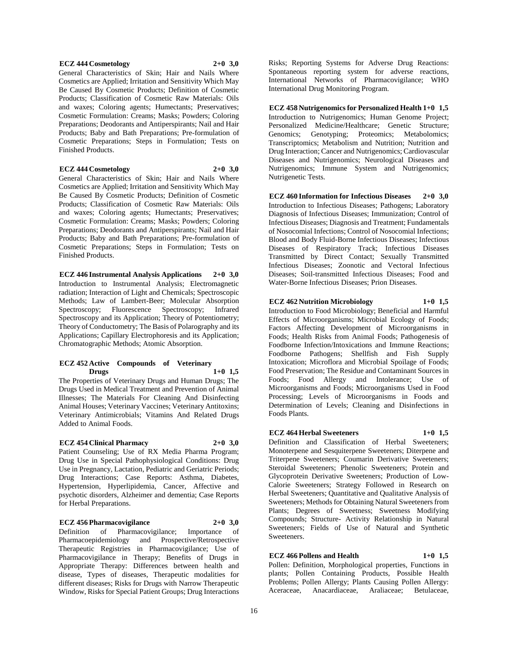#### **ECZ 444 Cosmetology 2+0 3,0**

General Characteristics of Skin; Hair and Nails Where Cosmetics are Applied; Irritation and Sensitivity Which May Be Caused By Cosmetic Products; Definition of Cosmetic Products; Classification of Cosmetic Raw Materials: Oils and waxes; Coloring agents; Humectants; Preservatives; Cosmetic Formulation: Creams; Masks; Powders; Coloring Preparations; Deodorants and Antiperspirants; Nail and Hair Products; Baby and Bath Preparations; Pre-formulation of Cosmetic Preparations; Steps in Formulation; Tests on Finished Products.

#### **ECZ 444 Cosmetology 2+0 3,0**

General Characteristics of Skin; Hair and Nails Where Cosmetics are Applied; Irritation and Sensitivity Which May Be Caused By Cosmetic Products; Definition of Cosmetic Products; Classification of Cosmetic Raw Materials: Oils and waxes; Coloring agents; Humectants; Preservatives; Cosmetic Formulation: Creams; Masks; Powders; Coloring Preparations; Deodorants and Antiperspirants; Nail and Hair Products; Baby and Bath Preparations; Pre-formulation of Cosmetic Preparations; Steps in Formulation; Tests on Finished Products.

**ECZ 446 Instrumental Analysis Applications 2+0 3,0** Introduction to Instrumental Analysis; Electromagnetic radiation; Interaction of Light and Chemicals; Spectroscopic Methods; Law of Lambert-Beer; Molecular Absorption Spectroscopy; Fluorescence Spectroscopy; Infrared Spectroscopy and its Application; Theory of Potentiometry; Theory of Conductometry; The Basis of Polarography and its Applications; Capillary Electrophoresis and its Application; Chromatographic Methods; Atomic Absorption.

#### **ECZ 452 Active Compounds of Veterinary Drugs 1+0 1,5**

The Properties of Veterinary Drugs and Human Drugs; The Drugs Used in Medical Treatment and Prevention of Animal Illnesses; The Materials For Cleaning And Disinfecting Animal Houses; Veterinary Vaccines; Veterinary Antitoxins; Veterinary Antimicrobials; Vitamins And Related Drugs Added to Animal Foods.

#### **ECZ 454 Clinical Pharmacy 2+0 3,0**

Patient Counseling; Use of RX Media Pharma Program; Drug Use in Special Pathophysiological Conditions: Drug Use in Pregnancy, Lactation, Pediatric and Geriatric Periods; Drug Interactions; Case Reports: Asthma, Diabetes, Hypertension, Hyperlipidemia, Cancer, Affective and psychotic disorders, Alzheimer and dementia; Case Reports for Herbal Preparations.

#### **ECZ 456 Pharmacovigilance 2+0 3,0**

Definition of Pharmacovigilance; Importance of Pharmacoepidemiology and Prospective/Retrospective Therapeutic Registries in Pharmacovigilance; Use of Pharmacovigilance in Therapy; Benefits of Drugs in Appropriate Therapy: Differences between health and disease, Types of diseases, Therapeutic modalities for different diseases; Risks for Drugs with Narrow Therapeutic Window, Risks for Special Patient Groups; Drug Interactions

Risks; Reporting Systems for Adverse Drug Reactions: Spontaneous reporting system for adverse reactions, International Networks of Pharmacovigilance; WHO International Drug Monitoring Program.

**ECZ 458 Nutrigenomics for Personalized Health 1+0 1,5** Introduction to Nutrigenomics; Human Genome Project; Personalized Medicine/Healthcare; Genetic Structure; Genomics; Genotyping; Proteomics; Metabolomics; Transcriptomics; Metabolism and Nutrition; Nutrition and Drug Interaction; Cancer and Nutrigenomics; Cardiovascular Diseases and Nutrigenomics; Neurological Diseases and Nutrigenomics; Immune System and Nutrigenomics; Nutrigenetic Tests.

**ECZ 460 Information for Infectious Diseases 2+0 3,0** Introduction to Infectious Diseases; Pathogens; Laboratory Diagnosis of Infectious Diseases; Immunization; Control of Infectious Diseases; Diagnosis and Treatment; Fundamentals of Nosocomial Infections; Control of Nosocomial Infections; Blood and Body Fluid-Borne Infectious Diseases; Infectious Diseases of Respiratory Track; Infectious Diseases Transmitted by Direct Contact; Sexually Transmitted Infectious Diseases; Zoonotic and Vectoral Infectious Diseases; Soil-transmitted Infectious Diseases; Food and Water-Borne Infectious Diseases; Prion Diseases.

#### **ECZ 462 Nutrition Microbiology 1+0 1,5**

Introduction to Food Microbiology; Beneficial and Harmful Effects of Microorganisms; Microbial Ecology of Foods; Factors Affecting Development of Microorganisms in Foods; Health Risks from Animal Foods; Pathogenesis of Foodborne Infection/Intoxications and Immune Reactions; Foodborne Pathogens; Shellfish and Fish Supply Intoxication; Microflora and Microbial Spoilage of Foods; Food Preservation; The Residue and Contaminant Sources in Foods; Food Allergy and Intolerance; Use of Microorganisms and Foods; Microorganisms Used in Food Processing; Levels of Microorganisms in Foods and Determination of Levels; Cleaning and Disinfections in Foods Plants.

#### **ECZ 464 Herbal Sweeteners 1+0 1,5**

Definition and Classification of Herbal Sweeteners; Monoterpene and Sesquiterpene Sweeteners; Diterpene and Triterpene Sweeteners; Coumarin Derivative Sweeteners; Steroidal Sweeteners; Phenolic Sweeteners; Protein and Glycoprotein Derivative Sweeteners; Production of Low-Calorie Sweeteners; Strategy Followed in Research on Herbal Sweeteners; Quantitative and Qualitative Analysis of Sweeteners; Methods for Obtaining Natural Sweeteners from Plants; Degrees of Sweetness; Sweetness Modifying Compounds; Structure- Activity Relationship in Natural Sweeteners; Fields of Use of Natural and Synthetic Sweeteners.

#### **ECZ 466 Pollens and Health 1+0 1,5**

Pollen: Definition, Morphological properties, Functions in plants; Pollen Containing Products, Possible Health Problems; Pollen Allergy; Plants Causing Pollen Allergy: Aceraceae, Anacardiaceae, Araliaceae; Betulaceae,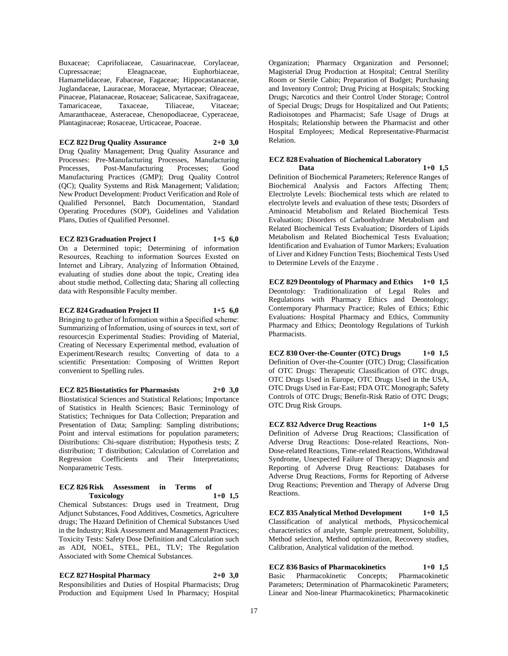Buxaceae; Caprifoliaceae, Casuarinaceae, Corylaceae, Cupressaceae; Eleagnaceae, Euphorbiaceae, Hamamelidaceae, Fabaceae, Fagaceae; Hippocastanaceae, Juglandaceae, Lauraceae, Moraceae, Myrtaceae; Oleaceae, Pinaceae, Platanaceae, Rosaceae; Salicaceae, Saxifragaceae, Tamaricaceae, Taxaceae, Tiliaceae, Vitaceae; Amaranthaceae, Asteraceae, Chenopodiaceae, Cyperaceae, Plantaginaceae; Rosaceae, Urticaceae, Poaceae.

#### **ECZ 822 Drug Quality Assurance 2+0 3,0**

Drug Quality Management; Drug Quality Assurance and Processes: Pre-Manufacturing Processes, Manufacturing Processes, Post-Manufacturing Processes; Good Manufacturing Practices (GMP); Drug Quality Control (QC); Quality Systems and Risk Management; Validation; New Product Development: Product Verification and Role of Qualified Personnel, Batch Documentation, Standard Operating Procedures (SOP), Guidelines and Validation Plans, Duties of Qualified Personnel.

#### **ECZ 823 Graduation Project I 1+5 6,0**

On a Determined topic; Determining of information Resources, Reaching to information Sources Exısted on Internet and Library, Analyzing of İnformation Obtained, evaluating of studies done about the topic, Creating idea about studie method, Collecting data; Sharing all collecting data with Responsible Faculty member.

**ECZ 824 Graduation Project II 1+5 6,0** Bringing to gether of İnformation within a Specified scheme: Summarizing of İnformation, using of sources in text, sort of resources;in Experimental Studies: Providing of Material, Creating of Necessary Experimental method, evaluation of Experiment/Research results; Converting of data to a scientific Presentation: Composing of Writtten Report convenient to Spelling rules.

**ECZ 825 Biostatistics for Pharmasists 2+0 3,0**

Biostatistical Sciences and Statistical Relations; Importance of Statistics in Health Sciences; Basic Terminology of Statistics; Techniques for Data Collection; Preparation and Presentation of Data; Sampling: Sampling distributions; Point and interval estimations for population parameters; Distributions: Chi-square distribution; Hypothesis tests; Z distribution; T distribution; Calculation of Correlation and Regression Coefficients and Their Interpretations; Nonparametric Tests.

#### **ECZ 826 Risk Assessment in Terms of Toxicology 1+0 1,5**

Chemical Substances: Drugs used in Treatment, Drug Adjunct Substances, Food Additives, Cosmetics, Agricultere drugs; The Hazard Definition of Chemical Substances Used in the Industry; Risk Assessment and Management Practices; Toxicity Tests: Safety Dose Definition and Calculation such as ADI, NOEL, STEL, PEL, TLV; The Regulation Associated with Some Chemical Substances.

**ECZ 827 Hospital Pharmacy 2+0 3,0**

Responsibilities and Duties of Hospital Pharmacists; Drug Production and Equipment Used In Pharmacy; Hospital Organization; Pharmacy Organization and Personnel; Magisterial Drug Production at Hospital; Central Sterility Room or Sterile Cabin; Preparation of Budget; Purchasing and Inventory Control; Drug Pricing at Hospitals; Stocking Drugs; Narcotics and their Control Under Storage; Control of Special Drugs; Drugs for Hospitalized and Out Patients; Radioisotopes and Pharmacist; Safe Usage of Drugs at Hospitals; Relationship between the Pharmacist and other Hospital Employees; Medical Representative-Pharmacist Relation.

#### **ECZ 828 Evaluation of Biochemical Laboratory Data 1+0 1,5**

Definition of Biochemical Parameters; Reference Ranges of Biochemical Analysis and Factors Affecting Them; Electrolyte Levels: Biochemical tests which are related to electrolyte levels and evaluation of these tests; Disorders of Aminoacid Metabolism and Related Biochemical Tests Evaluation; Disorders of Carbonhydrate Metabolism and Related Biochemical Tests Evaluation; Disorders of Lipids Metabolism and Related Biochemical Tests Evaluation; Identification and Evaluation of Tumor Markers; Evaluation of Liver and Kidney Function Tests; Biochemical Tests Used to Determine Levels of the Enzyme .

**ECZ 829 Deontology of Pharmacy and Ethics 1+0 1,5** Deontology: Traditionalization of Legal Rules and Regulations with Pharmacy Ethics and Deontology; Contemporary Pharmacy Practice; Rules of Ethics; Ethic Evaluations: Hospital Pharmacy and Ethics, Community Pharmacy and Ethics; Deontology Regulations of Turkish Pharmacists.

**ECZ 830 Over-the-Counter (OTC) Drugs 1+0 1,5** Definition of Over-the-Counter (OTC) Drug; Classification of OTC Drugs: Therapeutic Classification of OTC drugs, OTC Drugs Used in Europe, OTC Drugs Used in the USA, OTC Drugs Used in Far-East; FDA OTC Monograph; Safety Controls of OTC Drugs; Benefit-Risk Ratio of OTC Drugs; OTC Drug Risk Groups.

**ECZ 832 Adverce Drug Reactions 1+0 1,5** Definition of Adverse Drug Reactions; Classification of Adverse Drug Reactions: Dose-related Reactions, Non-Dose-related Reactions, Time-related Reactions, Withdrawal Syndrome, Unexpected Failure of Therapy; Diagnosis and Reporting of Adverse Drug Reactions: Databases for Adverse Drug Reactions, Forms for Reporting of Adverse Drug Reactions; Prevention and Therapy of Adverse Drug Reactions.

**ECZ 835 Analytical Method Development 1+0 1,5** Classification of analytical methods, Physicochemical characteristics of analyte, Sample pretreatment, Solubility, Method selection, Method optimization, Recovery studies, Calibration, Analytical validation of the method.

**ECZ 836 Basics of Pharmacokinetics 1+0 1,5** Basic Pharmacokinetic Concepts; Pharmacokinetic Parameters; Determination of Pharmacokinetic Parameters; Linear and Non-linear Pharmacokinetics; Pharmacokinetic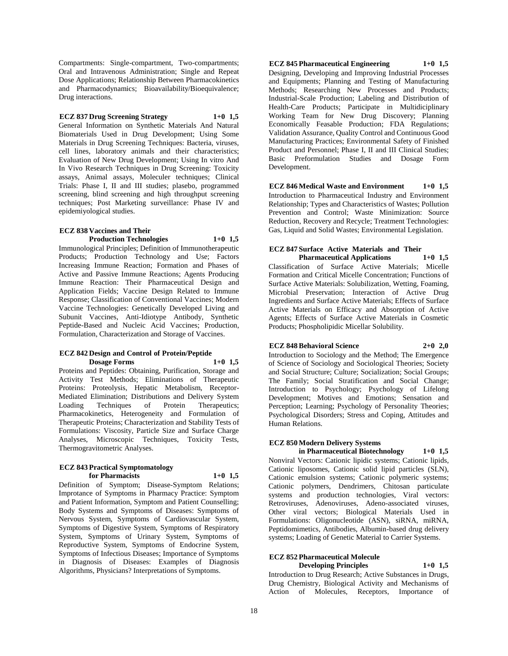Compartments: Single-compartment, Two-compartments; Oral and Intravenous Administration; Single and Repeat Dose Applications; Relationship Between Pharmacokinetics and Pharmacodynamics; Bioavailability/Bioequivalence; Drug interactions.

#### **ECZ 837 Drug Screening Strategy 1+0 1,5**

General Information on Synthetic Materials And Natural Biomaterials Used in Drug Development; Using Some Materials in Drug Screening Techniques: Bacteria, viruses, cell lines, laboratory animals and their characteristics; Evaluation of New Drug Development; Using In vitro And In Vivo Research Techniques in Drug Screening: Toxicity assays, Animal assays, Moleculer techniques; Clinical Trials: Phase I, II and III studies; plasebo, programmed screening, blind screening and high throughput screening techniques; Post Marketing surveillance: Phase IV and epidemiyological studies.

#### **ECZ 838 Vaccines and Their Production Technologies 1+0 1,5**

Immunological Principles; Definition of Immunotherapeutic Products; Production Technology and Use; Factors Increasing Immune Reaction; Formation and Phases of Active and Passive Immune Reactions; Agents Producing Immune Reaction: Their Pharmaceutical Design and Application Fields; Vaccine Design Related to Immune Response; Classification of Conventional Vaccines; Modern Vaccine Technologies: Genetically Developed Living and Subunit Vaccines, Anti-Idiotype Antibody, Synthetic Peptide-Based and Nucleic Acid Vaccines; Production, Formulation, Characterization and Storage of Vaccines.

#### **ECZ 842 Design and Control of Protein/Peptide Dosage Forms**

Proteins and Peptides: Obtaining, Purification, Storage and Activity Test Methods; Eliminations of Therapeutic Proteins: Proteolysis, Hepatic Metabolism, Receptor-Mediated Elimination; Distributions and Delivery System Loading Techniques of Protein Therapeutics; Pharmacokinetics, Heterogeneity and Formulation of Therapeutic Proteins; Characterization and Stability Tests of Formulations: Viscosity, Particle Size and Surface Charge Analyses, Microscopic Techniques, Toxicity Tests, Thermogravitometric Analyses.

#### **ECZ 843 Practical Symptomatology for Pharmacists 1+0 1,5**

Definition of Symptom; Disease-Symptom Relations; Improtance of Symptoms in Pharmacy Practice: Symptom and Patient Information, Symptom and Patient Counselling; Body Systems and Symptoms of Diseases: Symptoms of Nervous System, Symptoms of Cardiovascular System, Symptoms of Digestive System, Symptoms of Respiratory System, Symptoms of Urinary System, Symptoms of Reproductive System, Symptoms of Endocrine System, Symptoms of Infectious Diseases; Importance of Symptoms in Diagnosis of Diseases: Examples of Diagnosis Algorithms, Physicians? Interpretations of Symptoms.

**ECZ 845 Pharmaceutical Engineering 1+0 1,5** Designing, Developing and Improving Industrial Processes and Equipments; Planning and Testing of Manufacturing Methods; Researching New Processes and Products; Industrial-Scale Production; Labeling and Distribution of Health-Care Products; Participate in Multidiciplinary Working Team for New Drug Discovery; Planning Economically Feasable Production; FDA Regulations; Validation Assurance, Quality Control and Continuous Good Manufacturing Practices; Environmental Safety of Finished Product and Personnel; Phase I, II and III Clinical Studies; Basic Preformulation Studies and Dosage Form Development.

**ECZ 846 Medical Waste and Environment 1+0 1,5** Introduction to Pharmaceutical Industry and Environment Relationship; Types and Characteristics of Wastes; Pollution Prevention and Control; Waste Minimization: Source Reduction, Recovery and Recycle; Treatment Technologies: Gas, Liquid and Solid Wastes; Environmental Legislation.

### **ECZ 847 Surface Active Materials and Their**

**Pharmaceutical Applications 1+0 1,5** Classification of Surface Active Materials; Micelle Formation and Critical Micelle Concentration; Functions of Surface Active Materials: Solubilization, Wetting, Foaming, Microbial Preservation; Interaction of Active Drug Ingredients and Surface Active Materials; Effects of Surface Active Materials on Efficacy and Absorption of Active Agents; Effects of Surface Active Materials in Cosmetic Products; Phospholipidic Micellar Solubility.

#### **ECZ 848 Behavioral Science 2+0 2,0**

Introduction to Sociology and the Method; The Emergence of Science of Sociology and Sociological Theories; Society and Social Structure; Culture; Socialization; Social Groups; The Family; Social Stratification and Social Change; Introduction to Psychology; Psychology of Lifelong Development; Motives and Emotions; Sensation and Perception; Learning; Psychology of Personality Theories; Psychological Disorders; Stress and Coping, Attitudes and Human Relations.

### **ECZ 850 Modern Delivery Systems**

**in Pharmaceutical Biotechnology 1+0 1,5** Nonviral Vectors: Cationic lipidic systems; Cationic lipids, Cationic liposomes, Cationic solid lipid particles (SLN), Cationic emulsion systems; Cationic polymeric systems; Cationic polymers, Dendrimers, Chitosan particulate systems and production technologies, Viral vectors: Retroviruses, Adenoviruses, Adeno-associated viruses, Other viral vectors; Biological Materials Used in Formulations: Oligonucleotide (ASN), siRNA, miRNA, Peptidomimetics, Antibodies, Albumin-based drug delivery systems; Loading of Genetic Material to Carrier Systems.

#### **ECZ 852 Pharmaceutical Molecule Developing Principles 1+0 1,5**

Introduction to Drug Research; Active Substances in Drugs, Drug Chemistry, Biological Activity and Mechanisms of Action of Molecules, Receptors, Importance of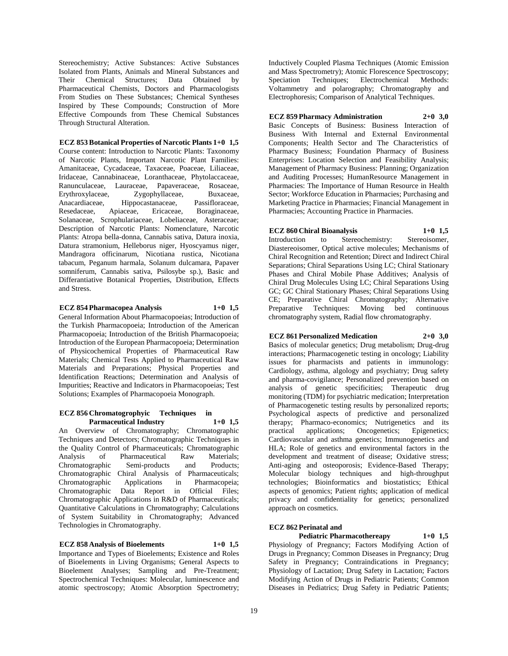Stereochemistry; Active Substances: Active Substances Isolated from Plants, Animals and Mineral Substances and Their Chemical Structures; Data Obtained by Pharmaceutical Chemists, Doctors and Pharmacologists From Studies on These Substances; Chemical Syntheses Inspired by These Compounds; Construction of More Effective Compounds from These Chemical Substances Through Structural Alteration.

**ECZ 853 Botanical Properties of Narcotic Plants 1+0 1,5** Course content: Introduction to Narcotic Plants: Taxonomy of Narcotic Plants, Important Narcotic Plant Families: Amanitaceae, Cycadaceae, Taxaceae, Poaceae, Liliaceae, Iridaceae, Cannabinaceae, Loranthaceae, Phytolaccaceae, Ranunculaceae, Lauraceae, Papaveraceae, Rosaceae, Erythroxylaceae, Zygophyllaceae, Buxaceae, Anacardiaceae, Hippocastanaceae, Passifloraceae, Resedaceae, Apiaceae, Ericaceae, Boraginaceae, Solanaceae, Scrophulariaceae, Lobeliaceae, Asteraceae; Description of Narcotic Plants: Nomenclature, Narcotic Plants: Atropa bella-donna, Cannabis sativa, Datura inoxia, Datura stramonium, Helleborus niger, Hyoscyamus niger, Mandragora officinarum, Nicotiana rustica, Nicotiana tabacum, Peganum harmala, Solanum dulcamara, Papaver somniferum, Cannabis sativa, Psilosybe sp.), Basic and Differantiative Botanical Properties, Distribution, Effects and Stress.

#### **ECZ 854 Pharmacopea Analysis 1+0 1,5**

General Information About Pharmacopoeias; Introduction of the Turkish Pharmacopoeia; Introduction of the American Pharmacopoeia; Introduction of the British Pharmacopoeia; Introduction of the European Pharmacopoeia; Determination of Physicochemical Properties of Pharmaceutical Raw Materials; Chemical Tests Applied to Pharmaceutical Raw Materials and Preparations; Physical Properties and Identification Reactions; Determination and Analysis of Impurities; Reactive and Indicators in Pharmacopoeias; Test Solutions; Examples of Pharmacopoeia Monograph.

#### **ECZ 856 Chromatogrophyic Techniques in Parmaceutical Industry 1+0 1,5**

An Overview of Chromatography; Chromatographic Techniques and Detectors; Chromatographic Techniques in the Quality Control of Pharmaceuticals; Chromatographic Analysis of Pharmaceutical Raw Materials; Chromatographic Semi-products and Products; Chromatographic Chiral Analysis of Pharmaceuticals; Chromatographic Applications in Pharmacopeia; Chromatographic Data Report in Official Files; Chromatographic Applications in R&D of Pharmaceuticals; Quantitative Calculations in Chromatography; Calculations of System Suitability in Chromatography; Advanced Technologies in Chromatography.

#### **ECZ 858 Analysis of Bioelements 1+0 1,5** Importance and Types of Bioelements; Existence and Roles

of Bioelements in Living Organisms; General Aspects to Bioelement Analyses; Sampling and Pre-Treatment; Spectrochemical Techniques: Molecular, luminescence and atomic spectroscopy; Atomic Absorption Spectrometry;

Inductively Coupled Plasma Techniques (Atomic Emission and Mass Spectrometry); Atomic Florescence Spectroscopy; Speciation Techniques; Electrochemical Methods: Voltammetry and polarography; Chromatography and Electrophoresis; Comparison of Analytical Techniques.

**ECZ 859 Pharmacy Administration 2+0 3,0** Basic Concepts of Business: Business Interaction of Business With Internal and External Environmental Components; Health Sector and The Characteristics of Pharmacy Business; Foundation Pharmacy of Business Enterprises: Location Selection and Feasibility Analysis; Management of Pharmacy Business: Planning; Organization and Auditing Processes; HumanResource Management in Pharmacies: The Importance of Human Resource in Health Sector; Workforce Education in Pharmacies; Purchasing and Marketing Practice in Pharmacies; Financial Management in Pharmacies; Accounting Practice in Pharmacies.

**ECZ 860 Chiral Bioanalysis 1+0 1,5** Introduction to Stereochemistry: Stereoisomer, Diastereoisomer, Optical active molecules; Mechanisms of Chiral Recognition and Retention; Direct and Indirect Chiral Separations; Chiral Separations Using LC; Chiral Stationary Phases and Chiral Mobile Phase Additives; Analysis of Chiral Drug Molecules Using LC; Chiral Separations Using GC; GC Chiral Stationary Phases; Chiral Separations Using CE; Preparative Chiral Chromatography; Alternative Preparative Techniques: Moving bed continuous chromatography system, Radial flow chromatography.

#### **ECZ 861 Personalized Medication 2+0 3,0**

Basics of molecular genetics; Drug metabolism; Drug-drug interactions; Pharmacogenetic testing in oncology; Liability issues for pharmacists and patients in immunology: Cardiology, asthma, algology and psychiatry; Drug safety and pharma-covigilance; Personalized prevention based on analysis of genetic specificities; Therapeutic drug monitoring (TDM) for psychiatric medication; Interpretation of Pharmacogenetic testing results by personalized reports; Psychological aspects of predictive and personalized therapy; Pharmaco-economics; Nutrigenetics and its practical applications; Oncogenetics; Epigenetics; practical applications; Oncogenetics; Epigenetics; Cardiovascular and asthma genetics; Immunogenetics and HLA; Role of genetics and environmental factors in the development and treatment of disease; Oxidative stress; Anti-aging and osteoporosis; Evidence-Based Therapy; Molecular biology techniques and high-throughput technologies; Bioinformatics and biostatistics; Ethical aspects of genomics; Patient rights; application of medical privacy and confidentiality for genetics; personalized approach on cosmetics.

#### **ECZ 862 Perinatal and**

**Pediatric Pharmacothereapy 1+0 1,5** Physiology of Pregnancy; Factors Modifying Action of Drugs in Pregnancy; Common Diseases in Pregnancy; Drug Safety in Pregnancy; Contraindications in Pregnancy; Physiology of Lactation; Drug Safety in Lactation; Factors Modifying Action of Drugs in Pediatric Patients; Common Diseases in Pediatrics; Drug Safety in Pediatric Patients;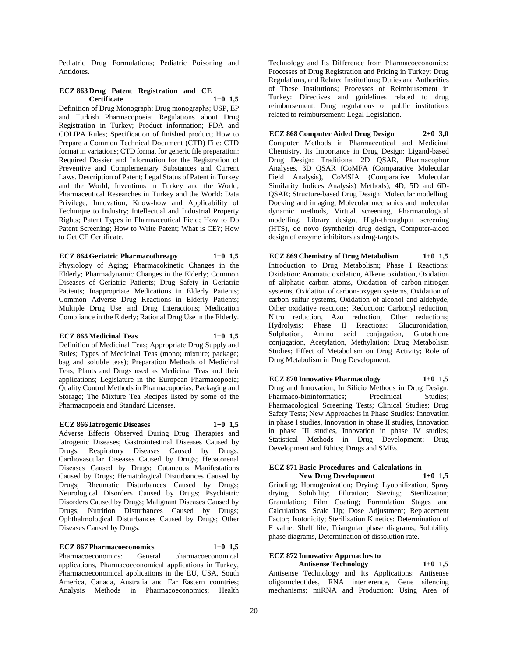Pediatric Drug Formulations; Pediatric Poisoning and Antidotes.

#### **ECZ 863 Drug Patent Registration and CE Certificate 1+0 1,5**

Definition of Drug Monograph: Drug monographs; USP, EP and Turkish Pharmacopoeia: Regulations about Drug Registration in Turkey; Product information; FDA and COLIPA Rules; Specification of finished product; How to Prepare a Common Technical Document (CTD) File: CTD format in variations; CTD format for generic file preparation: Required Dossier and Information for the Registration of Preventive and Complementary Substances and Current Laws. Description of Patent; Legal Status of Patent in Turkey and the World; Inventions in Turkey and the World; Pharmaceutical Researches in Turkey and the World: Data Privilege, Innovation, Know-how and Applicability of Technique to Industry; Intellectual and Industrial Property Rights; Patent Types in Pharmaceutical Field; How to Do Patent Screening; How to Write Patent; What is CE?; How to Get CE Certificate.

**ECZ 864 Geriatric Pharmacothreapy 1+0 1,5**

Physiology of Aging; Pharmacokinetic Changes in the Elderly; Pharmadynamic Changes in the Elderly; Common Diseases of Geriatric Patients; Drug Safety in Geriatric Patients; Inappropriate Medications in Elderly Patients; Common Adverse Drug Reactions in Elderly Patients; Multiple Drug Use and Drug Interactions; Medication Compliance in the Elderly; Rational Drug Use in the Elderly.

#### **ECZ 865 Medicinal Teas 1+0 1,5**

Definition of Medicinal Teas; Appropriate Drug Supply and Rules; Types of Medicinal Teas (mono; mixture; package; bag and soluble teas); Preparation Methods of Medicinal Teas; Plants and Drugs used as Medicinal Teas and their applications; Legislature in the European Pharmacopoeia; Quality Control Methods in Pharmacopoeias; Packaging and Storage; The Mixture Tea Recipes listed by some of the Pharmacopoeia and Standard Licenses.

#### **ECZ 866 Iatrogenic Diseases 1+0 1,5**

Adverse Effects Observed During Drug Therapies and Iatrogenic Diseases; Gastrointestinal Diseases Caused by Drugs; Respiratory Diseases Caused by Drugs; Cardiovascular Diseases Caused by Drugs; Hepatorenal Diseases Caused by Drugs; Cutaneous Manifestations Caused by Drugs; Hematological Disturbances Caused by Drugs; Rheumatic Disturbances Caused by Drugs; Neurological Disorders Caused by Drugs; Psychiatric Disorders Caused by Drugs; Malignant Diseases Caused by Drugs; Nutrition Disturbances Caused by Drugs; Ophthalmological Disturbances Caused by Drugs; Other Diseases Caused by Drugs.

#### **ECZ 867 Pharmacoeconomics 1+0 1,5**

Pharmacoeconomics: General pharmacoeconomical applications, Pharmacoeconomical applications in Turkey, Pharmacoeconomical applications in the EU, USA, South America, Canada, Australia and Far Eastern countries; Analysis Methods in Pharmacoeconomics; Health

Technology and Its Difference from Pharmacoeconomics; Processes of Drug Registration and Pricing in Turkey: Drug Regulations, and Related Institutions; Duties and Authorities of These Institutions; Processes of Reimbursement in Turkey: Directives and guidelines related to drug reimbursement, Drug regulations of public institutions related to reimbursement: Legal Legislation.

**ECZ 868 Computer Aided Drug Design 2+0 3,0** Computer Methods in Pharmaceutical and Medicinal Chemistry, Its Importance in Drug Design; Ligand-based Drug Design: Traditional 2D QSAR, Pharmacophor Analyses, 3D QSAR (CoMFA (Comparative Molecular Field Analysis), CoMSIA (Comparative Molecular Similarity Indices Analysis) Methods), 4D, 5D and 6D-QSAR; Structure-based Drug Design: Molecular modelling, Docking and imaging, Molecular mechanics and molecular dynamic methods, Virtual screening, Pharmacological modelling, Library design, High-throughput screening (HTS), de novo (synthetic) drug design, Computer-aided design of enzyme inhibitors as drug-targets.

**ECZ 869 Chemistry of Drug Metabolism 1+0 1,5** Introduction to Drug Metabolism; Phase I Reactions: Oxidation: Aromatic oxidation, Alkene oxidation, Oxidation of aliphatic carbon atoms, Oxidation of carbon-nitrogen systems, Oxidation of carbon-oxygen systems, Oxidation of carbon-sulfur systems, Oxidation of alcohol and aldehyde, Other oxidative reactions; Reduction: Carbonyl reduction, Nitro reduction, Azo reduction, Other reductions; Hydrolysis; Phase II Reactions: Glucuronidation, Sulphation, Amino acid conjugation, Glutathione conjugation, Acetylation, Methylation; Drug Metabolism Studies; Effect of Metabolism on Drug Activity; Role of Drug Metabolism in Drug Development.

### **ECZ 870 Innovative Pharmacology 1+0 1,5**

Drug and Innovation; In Silicio Methods in Drug Design; Pharmaco-bioinformatics; Preclinical Studies; Pharmacological Screening Tests; Clinical Studies; Drug Safety Tests; New Approaches in Phase Studies: Innovation in phase I studies, Innovation in phase II studies, Innovation in phase III studies, Innovation in phase IV studies; Statistical Methods in Drug Development; Drug Development and Ethics; Drugs and SMEs.

#### **ECZ 871 Basic Procedures and Calculations in New Drug Development 1+0 1,5**

Grinding; Homogenization; Drying: Lyophilization, Spray drying; Solubility; Filtration; Sieving; Sterilization; Granulation; Film Coating; Formulation Stages and Calculations; Scale Up; Dose Adjustment; Replacement Factor; Isotonicity; Sterilization Kinetics: Determination of F value, Shelf life, Triangular phase diagrams, Solubility phase diagrams, Determination of dissolution rate.

#### **ECZ 872 Innovative Approaches to Antisense Technology 1+0 1,5**

Antisense Technology and Its Applications: Antisense oligonucleotides, RNA interference, Gene silencing mechanisms; miRNA and Production; Using Area of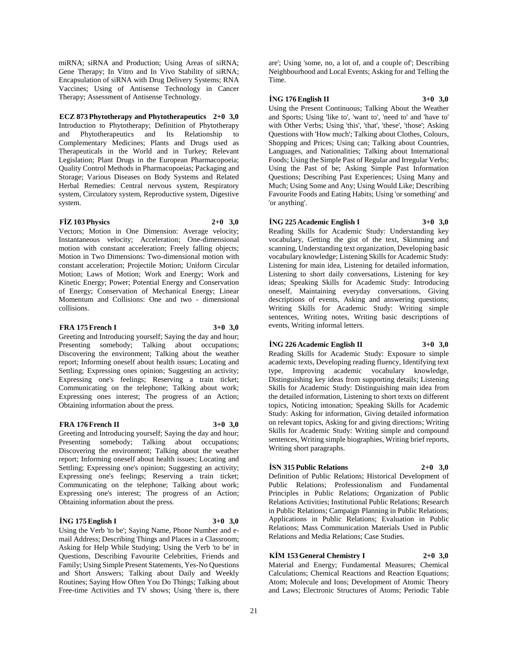miRNA; siRNA and Production; Using Areas of siRNA; Gene Therapy; In Vitro and In Vivo Stability of siRNA; Encapsulation of siRNA with Drug Delivery Systems; RNA Vaccines; Using of Antisense Technology in Cancer Therapy; Assessment of Antisense Technology.

#### **ECZ 873 Phytotherapy and Phytotherapeutics 2+0 3,0**

Introduction to Phytotherapy; Definition of Phytotherapy and Phytotherapeutics and Its Relationship to Complementary Medicines; Plants and Drugs used as Therapeuticals in the World and in Turkey; Relevant Legislation; Plant Drugs in the European Pharmacopoeia; Quality Control Methods in Pharmacopoeias; Packaging and Storage; Various Diseases on Body Systems and Related Herbal Remedies: Central nervous system, Respiratory system, Circulatory system, Reproductive system, Digestive system.

#### **FİZ 103 Physics 2+0 3,0**

Vectors; Motion in One Dimension: Average velocity; Instantaneous velocity; Acceleration; One-dimensional motion with constant acceleration; Freely falling objects; Motion in Two Dimensions: Two-dimensional motion with constant acceleration; Projectile Motion; Uniform Circular Motion; Laws of Motion; Work and Energy; Work and Kinetic Energy; Power; Potential Energy and Conservation of Energy; Conservation of Mechanical Energy; Linear Momentum and Collisions: One and two - dimensional collisions.

#### **FRA 175 French I 3+0 3,0**

Greeting and Introducing yourself; Saying the day and hour; Presenting somebody; Talking about occupations; Discovering the environment; Talking about the weather report; Informing oneself about health issues; Locating and Settling; Expressing ones opinion; Suggesting an activity; Expressing one's feelings; Reserving a train ticket; Communicating on the telephone; Talking about work; Expressing ones interest; The progress of an Action; Obtaining information about the press.

#### **FRA 176 French II 3+0 3,0**

Greeting and Introducing yourself; Saying the day and hour; Presenting somebody; Talking about occupations; Discovering the environment; Talking about the weather report; Informing oneself about health issues; Locating and Settling; Expressing one's opinion; Suggesting an activity; Expressing one's feelings; Reserving a train ticket; Communicating on the telephone; Talking about work; Expressing one's interest; The progress of an Action; Obtaining information about the press.

#### **İNG 175 English I 3+0 3,0**

Using the Verb 'to be'; Saying Name, Phone Number and email Address; Describing Things and Places in a Classroom; Asking for Help While Studying; Using the Verb 'to be' in Questions, Describing Favourite Celebrities, Friends and Family; Using Simple Present Statements, Yes-No Questions and Short Answers; Talking about Daily and Weekly Routines; Saying How Often You Do Things; Talking about Free-time Activities and TV shows; Using 'there is, there

are'; Using 'some, no, a lot of, and a couple of'; Describing Neighbourhood and Local Events; Asking for and Telling the Time.

#### **İNG 176 English II 3+0 3,0**

Using the Present Continuous; Talking About the Weather and Sports; Using 'like to', 'want to', 'need to' and 'have to' with Other Verbs; Using 'this', 'that', 'these', 'those'; Asking Questions with 'How much'; Talking about Clothes, Colours, Shopping and Prices: Using can: Talking about Countries, Languages, and Nationalities; Talking about International Foods; Using the Simple Past of Regular and Irregular Verbs; Using the Past of be; Asking Simple Past Information Questions; Describing Past Experiences; Using Many and Much; Using Some and Any; Using Would Like; Describing Favourite Foods and Eating Habits; Using 'or something' and 'or anything'.

#### **İNG 225 Academic English I 3+0 3,0**

Reading Skills for Academic Study: Understanding key vocabulary, Getting the gist of the text, Skimming and scanning, Understanding text organization, Developing basic vocabulary knowledge; Listening Skills for Academic Study: Listening for main idea, Listening for detailed information, Listening to short daily conversations, Listening for key ideas; Speaking Skills for Academic Study: Introducing oneself, Maintaining everyday conversations, Giving descriptions of events, Asking and answering questions; Writing Skills for Academic Study: Writing simple sentences, Writing notes, Writing basic descriptions of events, Writing informal letters.

#### **İNG 226 Academic English II 3+0 3,0**

Reading Skills for Academic Study: Exposure to simple academic texts, Developing reading fluency, Identifying text type, Improving academic vocabulary knowledge, Distinguishing key ideas from supporting details; Listening Skills for Academic Study: Distinguishing main idea from the detailed information, Listening to short texts on different topics, Noticing intonation; Speaking Skills for Academic Study: Asking for information, Giving detailed information on relevant topics, Asking for and giving directions; Writing Skills for Academic Study: Writing simple and compound sentences, Writing simple biographies, Writing brief reports, Writing short paragraphs.

#### **İSN 315 Public Relations 2+0 3,0**

Definition of Public Relations; Historical Development of Public Relations; Professionalism and Fundamental Principles in Public Relations; Organization of Public Relations Activities; Institutional Public Relations; Research in Public Relations; Campaign Planning in Public Relations; Applications in Public Relations; Evaluation in Public Relations; Mass Communication Materials Used in Public Relations and Media Relations; Case Studies.

### **KİM 153 General Chemistry I 2+0 3,0**

Material and Energy; Fundamental Measures; Chemical Calculations; Chemical Reactions and Reaction Equations; Atom; Molecule and Ions; Development of Atomic Theory and Laws; Electronic Structures of Atoms; Periodic Table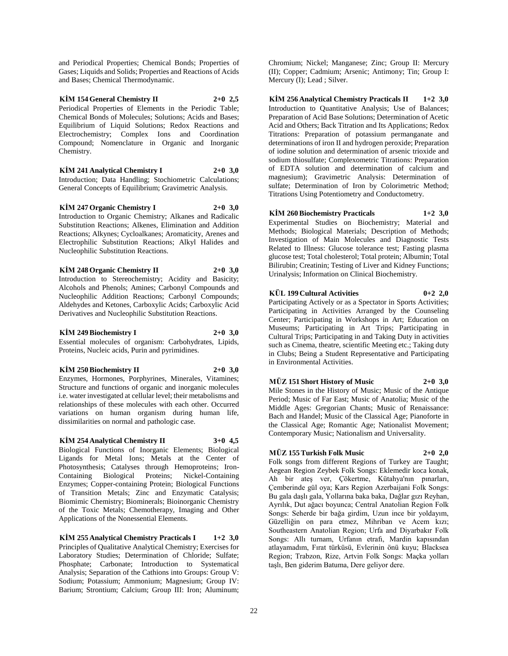and Periodical Properties; Chemical Bonds; Properties of Gases; Liquids and Solids; Properties and Reactions of Acids and Bases; Chemical Thermodynamic.

**KİM 154 General Chemistry II 2+0 2,5** Periodical Properties of Elements in the Periodic Table; Chemical Bonds of Molecules; Solutions; Acids and Bases; Equilibrium of Liquid Solutions; Redox Reactions and Electrochemistry; Complex Ions and Coordination Compound; Nomenclature in Organic and Inorganic Chemistry.

**KİM 241 Analytical Chemistry I 2+0 3,0** Introduction; Data Handling; Stochiometric Calculations; General Concepts of Equilibrium; Gravimetric Analysis.

**KİM 247 Organic Chemistry I 2+0 3,0** Introduction to Organic Chemistry; Alkanes and Radicalic Substitution Reactions; Alkenes, Elimination and Addition Reactions; Alkynes; Cycloalkanes; Aromaticity, Arenes and Electrophilic Substitution Reactions; Alkyl Halides and Nucleophilic Substitution Reactions.

**KİM 248 Organic Chemistry II 2+0 3,0** Introduction to Stereochemistry; Acidity and Basicity; Alcohols and Phenols; Amines; Carbonyl Compounds and Nucleophilic Addition Reactions; Carbonyl Compounds; Aldehydes and Ketones, Carboxylic Acids; Carboxylic Acid

**KİM 249 Biochemistry I 2+0 3,0** Essential molecules of organism: Carbohydrates, Lipids, Proteins, Nucleic acids, Purin and pyrimidines.

Derivatives and Nucleophilic Substitution Reactions.

**KİM 250 Biochemistry II 2+0 3,0** Enzymes, Hormones, Porphyrines, Minerales, Vitamines; Structure and functions of organic and inorganic molecules i.e. water investigated at cellular level; their metabolisms and relationships of these molecules with each other. Occurred variations on human organism during human life, dissimilarities on normal and pathologic case.

**KİM 254 Analytical Chemistry II 3+0 4,5** Biological Functions of Inorganic Elements; Biological Ligands for Metal Ions; Metals at the Center of Photosynthesis; Catalyses through Hemoproteins; Iron-Containing Biological Proteins; Nickel-Containing Enzymes; Copper-containing Protein; Biological Functions of Transition Metals; Zinc and Enzymatic Catalysis; Biomimic Chemistry; Biominerals; Bioinorganic Chemistry of the Toxic Metals; Chemotherapy, Imaging and Other Applications of the Nonessential Elements.

**KİM 255 Analytical Chemistry Practicals I 1+2 3,0** Principles of Qualitative Analytical Chemistry; Exercises for Laboratory Studies; Determination of Chloride; Sulfate; Phosphate; Carbonate; Introduction to Systematical Analysis; Separation of the Cathions into Groups: Group V: Sodium; Potassium; Ammonium; Magnesium; Group IV: Barium; Strontium; Calcium; Group III: Iron; Aluminum;

Chromium; Nickel; Manganese; Zinc; Group II: Mercury (II); Copper; Cadmium; Arsenic; Antimony; Tin; Group I: Mercury (I); Lead ; Silver.

**KİM 256 Analytical Chemistry Practicals II 1+2 3,0** Introduction to Quantitative Analysis; Use of Balances; Preparation of Acid Base Solutions; Determination of Acetic Acid and Others; Back Titration and Its Applications; Redox Titrations: Preparation of potassium permanganate and determinations of iron II and hydrogen peroxide; Preparation of iodine solution and determination of arsenic trioxide and sodium thiosulfate; Complexometric Titrations: Preparation of EDTA solution and determination of calcium and magnesium); Gravimetric Analysis: Determination of sulfate; Determination of Iron by Colorimetric Method; Titrations Using Potentiometry and Conductometry.

**KİM 260 Biochemistry Practicals 1+2 3,0**

Experimental Studies on Biochemistry; Material and Methods; Biological Materials; Description of Methods; Investigation of Main Molecules and Diagnostic Tests Related to Illness: Glucose tolerance test; Fasting plasma glucose test; Total cholesterol; Total protein; Albumin; Total Bilirubin; Creatinin; Testing of Liver and Kidney Functions; Urinalysis; Information on Clinical Biochemistry.

### **KÜL 199 Cultural Activities 0+2 2,0**

Participating Actively or as a Spectator in Sports Activities; Participating in Activities Arranged by the Counseling Center; Participating in Workshops in Art; Education on Museums; Participating in Art Trips; Participating in Cultural Trips; Participating in and Taking Duty in activities such as Cinema, theatre, scientific Meeting etc.; Taking duty in Clubs; Being a Student Representative and Participating in Environmental Activities.

### **MÜZ 151 Short History of Music 2+0 3,0**

Mile Stones in the History of Music; Music of the Antique Period; Music of Far East; Music of Anatolia; Music of the Middle Ages: Gregorian Chants; Music of Renaissance: Bach and Handel; Music of the Classical Age; Pianoforte in the Classical Age; Romantic Age; Nationalist Movement; Contemporary Music; Nationalism and Universality.

#### **MÜZ 155 Turkish Folk Music 2+0 2,0**

Folk songs from different Regions of Turkey are Taught; Aegean Region Zeybek Folk Songs: Eklemedir koca konak, Ah bir ateş ver, Çökertme, Kütahya'nın pınarları, Çemberinde gül oya; Kars Region Azerbaijani Folk Songs: Bu gala daşlı gala, Yollarına baka baka, Dağlar gızı Reyhan, Ayrılık, Dut ağacı boyunca; Central Anatolian Region Folk Songs: Seherde bir bağa girdim, Uzun ince bir yoldayım, Güzelliğin on para etmez, Mihriban ve Acem kızı; Southeastern Anatolian Region; Urfa and Diyarbakır Folk Songs: Allı turnam, Urfanın etrafı, Mardin kapısından atlayamadım, Fırat türküsü, Evlerinin önü kuyu; Blacksea Region; Trabzon, Rize, Artvin Folk Songs: Maçka yolları taşlı, Ben giderim Batuma, Dere geliyor dere.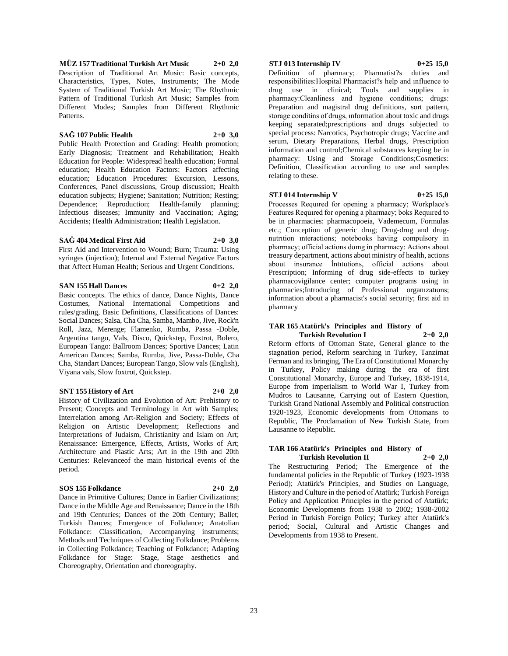**MÜZ 157 Traditional Turkish Art Music 2+0 2,0** Description of Traditional Art Music: Basic concepts, Characteristics, Types, Notes, Instruments; The Mode System of Traditional Turkish Art Music; The Rhythmic Pattern of Traditional Turkish Art Music; Samples from Different Modes; Samples from Different Rhythmic Patterns.

#### **SAĞ 107 Public Health 2+0 3,0**

Public Health Protection and Grading: Health promotion; Early Diagnosis; Treatment and Rehabilitation; Health Education for People: Widespread health education; Formal education; Health Education Factors: Factors affecting education; Education Procedures: Excursion, Lessons, Conferences, Panel discussions, Group discussion; Health education subjects; Hygiene; Sanitation; Nutrition; Resting; Dependence; Reproduction; Health-family planning; Infectious diseases; Immunity and Vaccination; Aging; Accidents; Health Administration; Health Legislation.

#### **SAĞ 404 Medical First Aid 2+0 3,0**

First Aid and Intervention to Wound; Burn; Trauma: Using syringes (injection); Internal and External Negative Factors that Affect Human Health; Serious and Urgent Conditions.

#### **SAN 155 Hall Dances 0+2 2,0**

Basic concepts. The ethics of dance, Dance Nights, Dance Costumes, National International Competitions and rules/grading, Basic Definitions, Classifications of Dances: Social Dances; Salsa, Cha Cha, Samba, Mambo, Jive, Rock'n Roll, Jazz, Merenge; Flamenko, Rumba, Passa -Doble, Argentina tango, Vals, Disco, Quickstep, Foxtrot, Bolero, European Tango: Ballroom Dances; Sportive Dances; Latin American Dances; Samba, Rumba, Jive, Passa-Doble, Cha Cha, Standart Dances; European Tango, Slow vals (English), Viyana vals, Slow foxtrot, Quickstep.

#### **SNT 155 History of Art 2+0 2,0**

History of Civilization and Evolution of Art: Prehistory to Present; Concepts and Terminology in Art with Samples; Interrelation among Art-Religion and Society; Effects of Religion on Artistic Development; Reflections and Interpretations of Judaism, Christianity and Islam on Art; Renaissance: Emergence, Effects, Artists, Works of Art; Architecture and Plastic Arts; Art in the 19th and 20th Centuries: Relevanceof the main historical events of the period.

#### **SOS 155 Folkdance 2+0 2,0**

Dance in Primitive Cultures; Dance in Earlier Civilizations; Dance in the Middle Age and Renaissance; Dance in the 18th and 19th Centuries; Dances of the 20th Century; Ballet; Turkish Dances; Emergence of Folkdance; Anatolian Folkdance: Classification, Accompanying instruments; Methods and Techniques of Collecting Folkdance; Problems in Collecting Folkdance; Teaching of Folkdance; Adapting Folkdance for Stage: Stage, Stage aesthetics and Choreography, Orientation and choreography.

#### **STJ 013 Internship IV 0+25 15,0**

Definition of pharmacy; Pharmatist?s duties and responsibilities:Hospital Pharmacist?s help and ınfluence to drug use in clinical; Tools and supplies in pharmacy:Cleanliness and hygıene conditions; drugs: Preparation and magistral drug definitions, sort pattern, storage conditins of drugs, ınformation about toxic and drugs keeping separated;prescriptions and drugs subjected to special process: Narcotics, Psychotropic drugs; Vaccine and serum, Dietary Preparations, Herbal drugs, Prescription information and control;Chemical substances keeping be in pharmacy: Using and Storage Conditions;Cosmetics: Definition, Classification according to use and samples relating to these.

#### **STJ 014 Internship V 0+25 15,0**

Processes Requıred for opening a pharmacy; Workplace's Features Requıred for opening a pharmacy; boks Requıred to be in pharmacies: pharmacopoeia, Vademecum, Formulas etc.; Conception of generic drug; Drug-drug and drugnutrıtion ınteractions; notebooks having compulsory in pharmacy; official actions doıng in pharmacy: Actions about treasury department, actions about ministry of health, actions about insurance İntıtutions, official actions about Prescription; Informing of drug side-effects to turkey pharmacovigilance center; computer programs using in pharmacies;Introducing of Professional organızatıons; information about a pharmacist's social security; first aid in pharmacy

### **TAR 165 Atatürk's Principles and History of**

**Turkish Revolution I 2+0 2,0** Reform efforts of Ottoman State, General glance to the stagnation period, Reform searching in Turkey, Tanzimat Ferman and its bringing, The Era of Constitutional Monarchy in Turkey, Policy making during the era of first Constitutional Monarchy, Europe and Turkey, 1838-1914, Europe from imperialism to World War I, Turkey from Mudros to Lausanne, Carrying out of Eastern Question, Turkish Grand National Assembly and Political construction 1920-1923, Economic developments from Ottomans to Republic, The Proclamation of New Turkish State, from Lausanne to Republic.

#### **TAR 166 Atatürk's Principles and History of Turkish Revolution II 2+0 2,0**

The Restructuring Period; The Emergence of the fundamental policies in the Republic of Turkey (1923-1938 Period); Atatürk's Principles, and Studies on Language, History and Culture in the period of Atatürk; Turkish Foreign Policy and Application Principles in the period of Atatürk; Economic Developments from 1938 to 2002; 1938-2002 Period in Turkish Foreign Policy; Turkey after Atatürk's period; Social, Cultural and Artistic Changes and Developments from 1938 to Present.